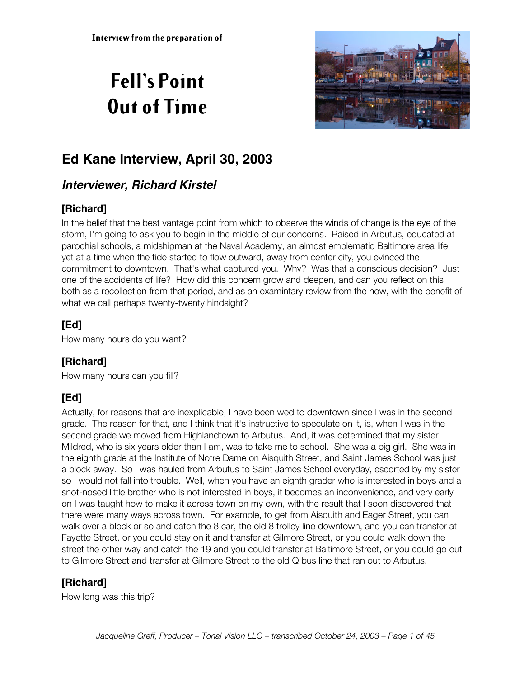# **Fell's Point Out of Time**



# **Ed Kane Interview, April 30, 2003**

# **Interviewer, Richard Kirstel**

# **[Richard]**

In the belief that the best vantage point from which to observe the winds of change is the eye of the storm, I'm going to ask you to begin in the middle of our concerns. Raised in Arbutus, educated at parochial schools, a midshipman at the Naval Academy, an almost emblematic Baltimore area life, yet at a time when the tide started to flow outward, away from center city, you evinced the commitment to downtown. That's what captured you. Why? Was that a conscious decision? Just one of the accidents of life? How did this concern grow and deepen, and can you reflect on this both as a recollection from that period, and as an examintary review from the now, with the benefit of what we call perhaps twenty-twenty hindsight?

## **[Ed]**

How many hours do you want?

## **[Richard]**

How many hours can you fill?

# **[Ed]**

Actually, for reasons that are inexplicable, I have been wed to downtown since I was in the second grade. The reason for that, and I think that it's instructive to speculate on it, is, when I was in the second grade we moved from Highlandtown to Arbutus. And, it was determined that my sister Mildred, who is six years older than I am, was to take me to school. She was a big girl. She was in the eighth grade at the Institute of Notre Dame on Aisquith Street, and Saint James School was just a block away. So I was hauled from Arbutus to Saint James School everyday, escorted by my sister so I would not fall into trouble. Well, when you have an eighth grader who is interested in boys and a snot-nosed little brother who is not interested in boys, it becomes an inconvenience, and very early on I was taught how to make it across town on my own, with the result that I soon discovered that there were many ways across town. For example, to get from Aisquith and Eager Street, you can walk over a block or so and catch the 8 car, the old 8 trolley line downtown, and you can transfer at Fayette Street, or you could stay on it and transfer at Gilmore Street, or you could walk down the street the other way and catch the 19 and you could transfer at Baltimore Street, or you could go out to Gilmore Street and transfer at Gilmore Street to the old Q bus line that ran out to Arbutus.

# **[Richard]**

How long was this trip?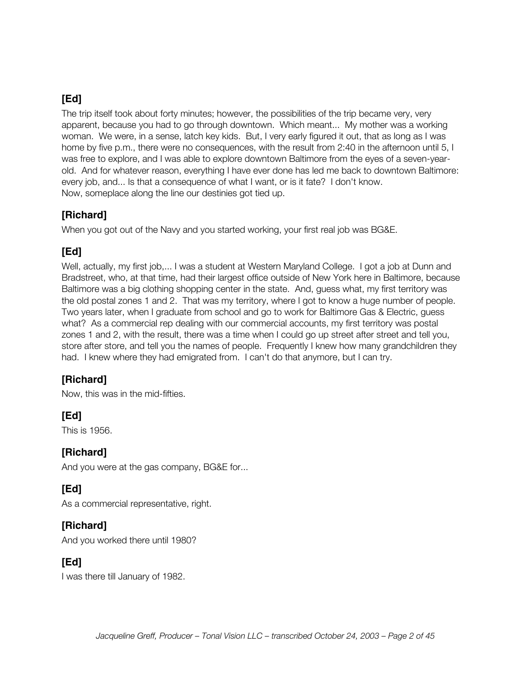The trip itself took about forty minutes; however, the possibilities of the trip became very, very apparent, because you had to go through downtown. Which meant... My mother was a working woman. We were, in a sense, latch key kids. But, I very early figured it out, that as long as I was home by five p.m., there were no consequences, with the result from 2:40 in the afternoon until 5, I was free to explore, and I was able to explore downtown Baltimore from the eyes of a seven-yearold. And for whatever reason, everything I have ever done has led me back to downtown Baltimore: every job, and... Is that a consequence of what I want, or is it fate? I don't know. Now, someplace along the line our destinies got tied up.

#### **[Richard]**

When you got out of the Navy and you started working, your first real job was BG&E.

#### **[Ed]**

Well, actually, my first job,... I was a student at Western Maryland College. I got a job at Dunn and Bradstreet, who, at that time, had their largest office outside of New York here in Baltimore, because Baltimore was a big clothing shopping center in the state. And, guess what, my first territory was the old postal zones 1 and 2. That was my territory, where I got to know a huge number of people. Two years later, when I graduate from school and go to work for Baltimore Gas & Electric, guess what? As a commercial rep dealing with our commercial accounts, my first territory was postal zones 1 and 2, with the result, there was a time when I could go up street after street and tell you, store after store, and tell you the names of people. Frequently I knew how many grandchildren they had. I knew where they had emigrated from. I can't do that anymore, but I can try.

#### **[Richard]**

Now, this was in the mid-fifties.

## **[Ed]**

This is 1956.

#### **[Richard]**

And you were at the gas company, BG&E for...

## **[Ed]**

As a commercial representative, right.

#### **[Richard]**

And you worked there until 1980?

#### **[Ed]**

I was there till January of 1982.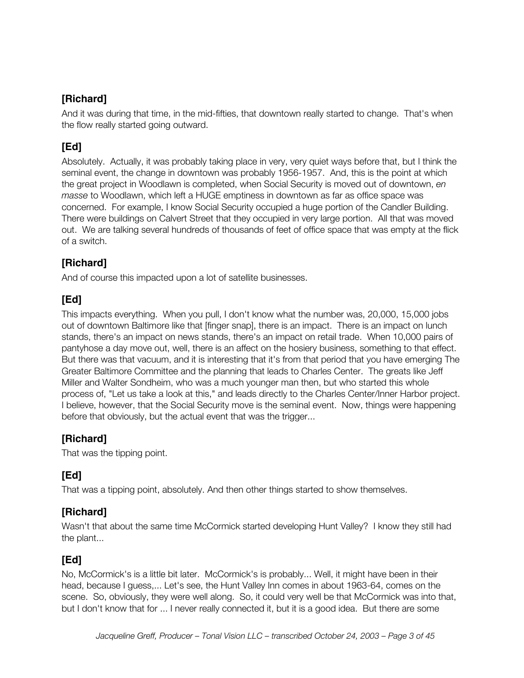And it was during that time, in the mid-fifties, that downtown really started to change. That's when the flow really started going outward.

# **[Ed]**

Absolutely. Actually, it was probably taking place in very, very quiet ways before that, but I think the seminal event, the change in downtown was probably 1956-1957. And, this is the point at which the great project in Woodlawn is completed, when Social Security is moved out of downtown, *en masse* to Woodlawn, which left a HUGE emptiness in downtown as far as office space was concerned. For example, I know Social Security occupied a huge portion of the Candler Building. There were buildings on Calvert Street that they occupied in very large portion. All that was moved out. We are talking several hundreds of thousands of feet of office space that was empty at the flick of a switch.

# **[Richard]**

And of course this impacted upon a lot of satellite businesses.

# **[Ed]**

This impacts everything. When you pull, I don't know what the number was, 20,000, 15,000 jobs out of downtown Baltimore like that [finger snap], there is an impact. There is an impact on lunch stands, there's an impact on news stands, there's an impact on retail trade. When 10,000 pairs of pantyhose a day move out, well, there is an affect on the hosiery business, something to that effect. But there was that vacuum, and it is interesting that it's from that period that you have emerging The Greater Baltimore Committee and the planning that leads to Charles Center. The greats like Jeff Miller and Walter Sondheim, who was a much younger man then, but who started this whole process of, "Let us take a look at this," and leads directly to the Charles Center/Inner Harbor project. I believe, however, that the Social Security move is the seminal event. Now, things were happening before that obviously, but the actual event that was the trigger...

## **[Richard]**

That was the tipping point.

# **[Ed]**

That was a tipping point, absolutely. And then other things started to show themselves.

## **[Richard]**

Wasn't that about the same time McCormick started developing Hunt Valley? I know they still had the plant...

## **[Ed]**

No, McCormick's is a little bit later. McCormick's is probably... Well, it might have been in their head, because I guess,... Let's see, the Hunt Valley Inn comes in about 1963-64, comes on the scene. So, obviously, they were well along. So, it could very well be that McCormick was into that, but I don't know that for ... I never really connected it, but it is a good idea. But there are some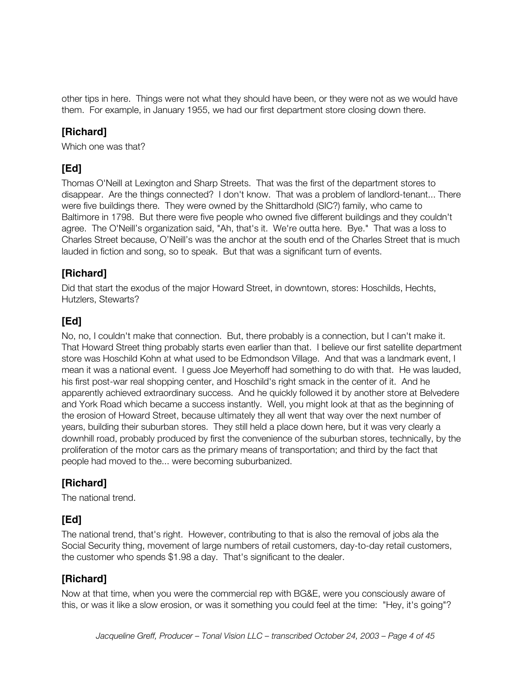other tips in here. Things were not what they should have been, or they were not as we would have them. For example, in January 1955, we had our first department store closing down there.

#### **[Richard]**

Which one was that?

## **[Ed]**

Thomas O'Neill at Lexington and Sharp Streets. That was the first of the department stores to disappear. Are the things connected? I don't know. That was a problem of landlord-tenant... There were five buildings there. They were owned by the Shittardhold (SIC?) family, who came to Baltimore in 1798. But there were five people who owned five different buildings and they couldn't agree. The O'Neill's organization said, "Ah, that's it. We're outta here. Bye." That was a loss to Charles Street because, O'Neill's was the anchor at the south end of the Charles Street that is much lauded in fiction and song, so to speak. But that was a significant turn of events.

#### **[Richard]**

Did that start the exodus of the major Howard Street, in downtown, stores: Hoschilds, Hechts, Hutzlers, Stewarts?

## **[Ed]**

No, no, I couldn't make that connection. But, there probably is a connection, but I can't make it. That Howard Street thing probably starts even earlier than that. I believe our first satellite department store was Hoschild Kohn at what used to be Edmondson Village. And that was a landmark event, I mean it was a national event. I guess Joe Meyerhoff had something to do with that. He was lauded, his first post-war real shopping center, and Hoschild's right smack in the center of it. And he apparently achieved extraordinary success. And he quickly followed it by another store at Belvedere and York Road which became a success instantly. Well, you might look at that as the beginning of the erosion of Howard Street, because ultimately they all went that way over the next number of years, building their suburban stores. They still held a place down here, but it was very clearly a downhill road, probably produced by first the convenience of the suburban stores, technically, by the proliferation of the motor cars as the primary means of transportation; and third by the fact that people had moved to the... were becoming suburbanized.

## **[Richard]**

The national trend.

## **[Ed]**

The national trend, that's right. However, contributing to that is also the removal of jobs ala the Social Security thing, movement of large numbers of retail customers, day-to-day retail customers, the customer who spends \$1.98 a day. That's significant to the dealer.

#### **[Richard]**

Now at that time, when you were the commercial rep with BG&E, were you consciously aware of this, or was it like a slow erosion, or was it something you could feel at the time: "Hey, it's going"?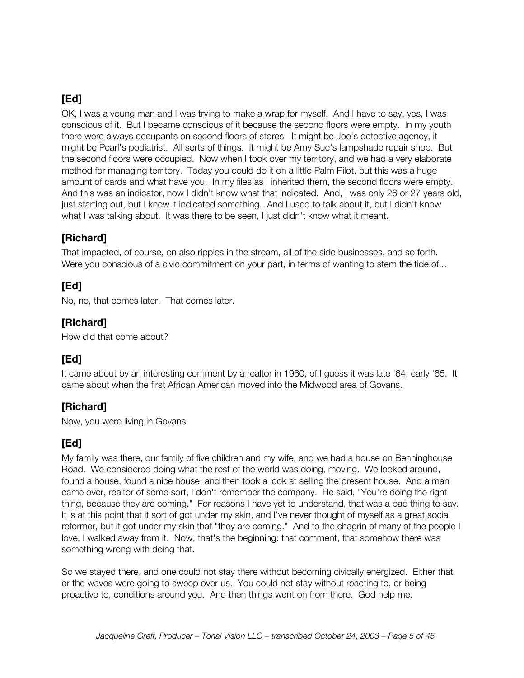OK, I was a young man and I was trying to make a wrap for myself. And I have to say, yes, I was conscious of it. But I became conscious of it because the second floors were empty. In my youth there were always occupants on second floors of stores. It might be Joe's detective agency, it might be Pearl's podiatrist. All sorts of things. It might be Amy Sue's lampshade repair shop. But the second floors were occupied. Now when I took over my territory, and we had a very elaborate method for managing territory. Today you could do it on a little Palm Pilot, but this was a huge amount of cards and what have you. In my files as I inherited them, the second floors were empty. And this was an indicator, now I didn't know what that indicated. And, I was only 26 or 27 years old, just starting out, but I knew it indicated something. And I used to talk about it, but I didn't know what I was talking about. It was there to be seen, I just didn't know what it meant.

#### **[Richard]**

That impacted, of course, on also ripples in the stream, all of the side businesses, and so forth. Were you conscious of a civic commitment on your part, in terms of wanting to stem the tide of...

## **[Ed]**

No, no, that comes later. That comes later.

#### **[Richard]**

How did that come about?

# **[Ed]**

It came about by an interesting comment by a realtor in 1960, of I guess it was late '64, early '65. It came about when the first African American moved into the Midwood area of Govans.

#### **[Richard]**

Now, you were living in Govans.

## **[Ed]**

My family was there, our family of five children and my wife, and we had a house on Benninghouse Road. We considered doing what the rest of the world was doing, moving. We looked around, found a house, found a nice house, and then took a look at selling the present house. And a man came over, realtor of some sort, I don't remember the company. He said, "You're doing the right thing, because they are coming." For reasons I have yet to understand, that was a bad thing to say. It is at this point that it sort of got under my skin, and I've never thought of myself as a great social reformer, but it got under my skin that "they are coming." And to the chagrin of many of the people I love, I walked away from it. Now, that's the beginning: that comment, that somehow there was something wrong with doing that.

So we stayed there, and one could not stay there without becoming civically energized. Either that or the waves were going to sweep over us. You could not stay without reacting to, or being proactive to, conditions around you. And then things went on from there. God help me.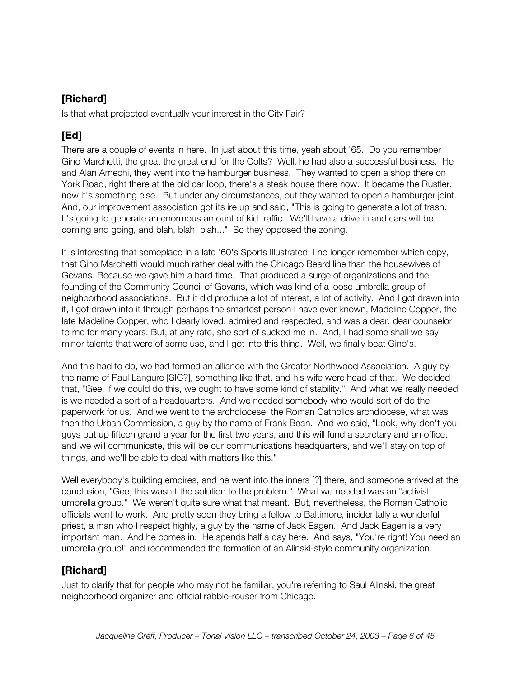Is that what projected eventually your interest in the City Fair?

## **[Ed]**

There are a couple of events in here. In just about this time, yeah about '65. Do you remember Gino Marchetti, the great the great end for the Colts? Well, he had also a successful business. He and Alan Amechi, they went into the hamburger business. They wanted to open a shop there on York Road, right there at the old car loop, there's a steak house there now. It became the Rustler, now it's something else. But under any circumstances, but they wanted to open a hamburger joint. And, our improvement association got its ire up and said, "This is going to generate a lot of trash. It's going to generate an enormous amount of kid traffic. We'll have a drive in and cars will be coming and going, and blah, blah, blah..." So they opposed the zoning.

It is interesting that someplace in a late '60's Sports Illustrated, I no longer remember which copy, that Gino Marchetti would much rather deal with the Chicago Beard line than the housewives of Govans. Because we gave him a hard time. That produced a surge of organizations and the founding of the Community Council of Govans, which was kind of a loose umbrella group of neighborhood associations. But it did produce a lot of interest, a lot of activity. And I got drawn into it, I got drawn into it through perhaps the smartest person I have ever known, Madeline Copper, the late Madeline Copper, who I dearly loved, admired and respected, and was a dear, dear counselor to me for many years. But, at any rate, she sort of sucked me in. And, I had some shall we say minor talents that were of some use, and I got into this thing. Well, we finally beat Gino's.

And this had to do, we had formed an alliance with the Greater Northwood Association. A guy by the name of Paul Langure [SIC?], something like that, and his wife were head of that. We decided that, "Gee, if we could do this, we ought to have some kind of stability." And what we really needed is we needed a sort of a headquarters. And we needed somebody who would sort of do the paperwork for us. And we went to the archdiocese, the Roman Catholics archdiocese, what was then the Urban Commission, a guy by the name of Frank Bean. And we said, "Look, why don't you guys put up fifteen grand a year for the first two years, and this will fund a secretary and an office, and we will communicate, this will be our communications headquarters, and we'll stay on top of things, and we'll be able to deal with matters like this."

Well everybody's building empires, and he went into the inners [?] there, and someone arrived at the conclusion, "Gee, this wasn't the solution to the problem." What we needed was an "activist umbrella group." We weren't quite sure what that meant. But, nevertheless, the Roman Catholic officials went to work. And pretty soon they bring a fellow to Baltimore, incidentally a wonderful priest, a man who I respect highly, a guy by the name of Jack Eagen. And Jack Eagen is a very important man. And he comes in. He spends half a day here. And says, "You're right! You need an umbrella group!" and recommended the formation of an Alinski-style community organization.

## **[Richard]**

Just to clarify that for people who may not be familiar, you're referring to Saul Alinski, the great neighborhood organizer and official rabble-rouser from Chicago.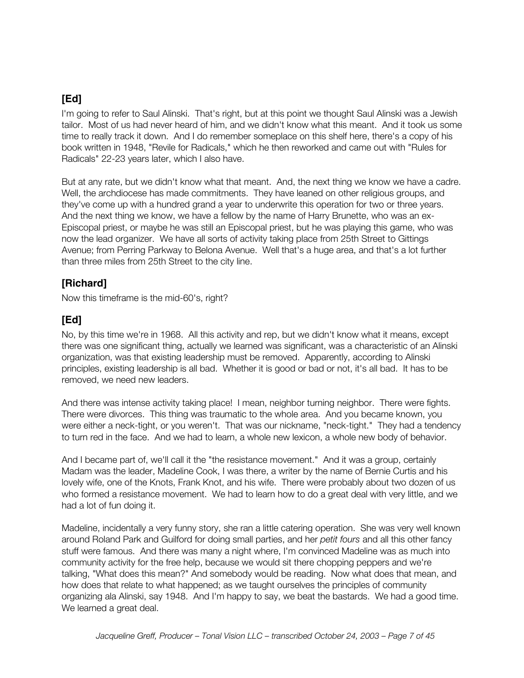I'm going to refer to Saul Alinski. That's right, but at this point we thought Saul Alinski was a Jewish tailor. Most of us had never heard of him, and we didn't know what this meant. And it took us some time to really track it down. And I do remember someplace on this shelf here, there's a copy of his book written in 1948, "Revile for Radicals," which he then reworked and came out with "Rules for Radicals" 22-23 years later, which I also have.

But at any rate, but we didn't know what that meant. And, the next thing we know we have a cadre. Well, the archdiocese has made commitments. They have leaned on other religious groups, and they've come up with a hundred grand a year to underwrite this operation for two or three years. And the next thing we know, we have a fellow by the name of Harry Brunette, who was an ex-Episcopal priest, or maybe he was still an Episcopal priest, but he was playing this game, who was now the lead organizer. We have all sorts of activity taking place from 25th Street to Gittings Avenue; from Perring Parkway to Belona Avenue. Well that's a huge area, and that's a lot further than three miles from 25th Street to the city line.

#### **[Richard]**

Now this timeframe is the mid-60's, right?

## **[Ed]**

No, by this time we're in 1968. All this activity and rep, but we didn't know what it means, except there was one significant thing, actually we learned was significant, was a characteristic of an Alinski organization, was that existing leadership must be removed. Apparently, according to Alinski principles, existing leadership is all bad. Whether it is good or bad or not, it's all bad. It has to be removed, we need new leaders.

And there was intense activity taking place! I mean, neighbor turning neighbor. There were fights. There were divorces. This thing was traumatic to the whole area. And you became known, you were either a neck-tight, or you weren't. That was our nickname, "neck-tight." They had a tendency to turn red in the face. And we had to learn, a whole new lexicon, a whole new body of behavior.

And I became part of, we'll call it the "the resistance movement." And it was a group, certainly Madam was the leader, Madeline Cook, I was there, a writer by the name of Bernie Curtis and his lovely wife, one of the Knots, Frank Knot, and his wife. There were probably about two dozen of us who formed a resistance movement. We had to learn how to do a great deal with very little, and we had a lot of fun doing it.

Madeline, incidentally a very funny story, she ran a little catering operation. She was very well known around Roland Park and Guilford for doing small parties, and her *petit fours* and all this other fancy stuff were famous. And there was many a night where, I'm convinced Madeline was as much into community activity for the free help, because we would sit there chopping peppers and we're talking, "What does this mean?" And somebody would be reading. Now what does that mean, and how does that relate to what happened; as we taught ourselves the principles of community organizing ala Alinski, say 1948. And I'm happy to say, we beat the bastards. We had a good time. We learned a great deal.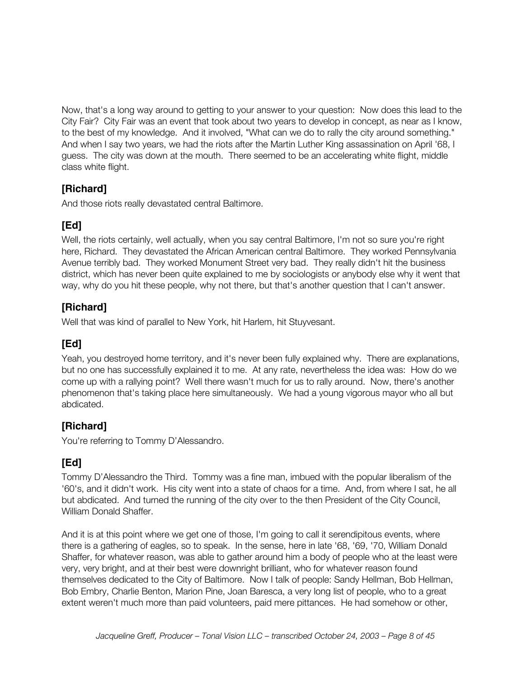Now, that's a long way around to getting to your answer to your question: Now does this lead to the City Fair? City Fair was an event that took about two years to develop in concept, as near as I know, to the best of my knowledge. And it involved, "What can we do to rally the city around something." And when I say two years, we had the riots after the Martin Luther King assassination on April '68, I guess. The city was down at the mouth. There seemed to be an accelerating white flight, middle class white flight.

## **[Richard]**

And those riots really devastated central Baltimore.

# **[Ed]**

Well, the riots certainly, well actually, when you say central Baltimore, I'm not so sure you're right here, Richard. They devastated the African American central Baltimore. They worked Pennsylvania Avenue terribly bad. They worked Monument Street very bad. They really didn't hit the business district, which has never been quite explained to me by sociologists or anybody else why it went that way, why do you hit these people, why not there, but that's another question that I can't answer.

## **[Richard]**

Well that was kind of parallel to New York, hit Harlem, hit Stuyvesant.

# **[Ed]**

Yeah, you destroyed home territory, and it's never been fully explained why. There are explanations, but no one has successfully explained it to me. At any rate, nevertheless the idea was: How do we come up with a rallying point? Well there wasn't much for us to rally around. Now, there's another phenomenon that's taking place here simultaneously. We had a young vigorous mayor who all but abdicated.

## **[Richard]**

You're referring to Tommy D'Alessandro.

# **[Ed]**

Tommy D'Alessandro the Third. Tommy was a fine man, imbued with the popular liberalism of the '60's, and it didn't work. His city went into a state of chaos for a time. And, from where I sat, he all but abdicated. And turned the running of the city over to the then President of the City Council, William Donald Shaffer.

And it is at this point where we get one of those, I'm going to call it serendipitous events, where there is a gathering of eagles, so to speak. In the sense, here in late '68, '69, '70, William Donald Shaffer, for whatever reason, was able to gather around him a body of people who at the least were very, very bright, and at their best were downright brilliant, who for whatever reason found themselves dedicated to the City of Baltimore. Now I talk of people: Sandy Hellman, Bob Hellman, Bob Embry, Charlie Benton, Marion Pine, Joan Baresca, a very long list of people, who to a great extent weren't much more than paid volunteers, paid mere pittances. He had somehow or other,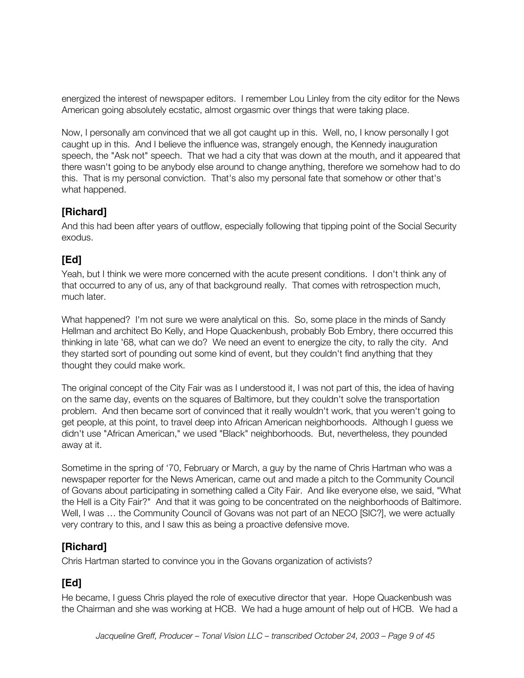energized the interest of newspaper editors. I remember Lou Linley from the city editor for the News American going absolutely ecstatic, almost orgasmic over things that were taking place.

Now, I personally am convinced that we all got caught up in this. Well, no, I know personally I got caught up in this. And I believe the influence was, strangely enough, the Kennedy inauguration speech, the "Ask not" speech. That we had a city that was down at the mouth, and it appeared that there wasn't going to be anybody else around to change anything, therefore we somehow had to do this. That is my personal conviction. That's also my personal fate that somehow or other that's what happened.

#### **[Richard]**

And this had been after years of outflow, especially following that tipping point of the Social Security exodus.

## **[Ed]**

Yeah, but I think we were more concerned with the acute present conditions. I don't think any of that occurred to any of us, any of that background really. That comes with retrospection much, much later.

What happened? I'm not sure we were analytical on this. So, some place in the minds of Sandy Hellman and architect Bo Kelly, and Hope Quackenbush, probably Bob Embry, there occurred this thinking in late '68, what can we do? We need an event to energize the city, to rally the city. And they started sort of pounding out some kind of event, but they couldn't find anything that they thought they could make work.

The original concept of the City Fair was as I understood it, I was not part of this, the idea of having on the same day, events on the squares of Baltimore, but they couldn't solve the transportation problem. And then became sort of convinced that it really wouldn't work, that you weren't going to get people, at this point, to travel deep into African American neighborhoods. Although I guess we didn't use "African American," we used "Black" neighborhoods. But, nevertheless, they pounded away at it.

Sometime in the spring of '70, February or March, a guy by the name of Chris Hartman who was a newspaper reporter for the News American, came out and made a pitch to the Community Council of Govans about participating in something called a City Fair. And like everyone else, we said, "What the Hell is a City Fair?" And that it was going to be concentrated on the neighborhoods of Baltimore. Well, I was … the Community Council of Govans was not part of an NECO [SIC?], we were actually very contrary to this, and I saw this as being a proactive defensive move.

## **[Richard]**

Chris Hartman started to convince you in the Govans organization of activists?

# **[Ed]**

He became, I guess Chris played the role of executive director that year. Hope Quackenbush was the Chairman and she was working at HCB. We had a huge amount of help out of HCB. We had a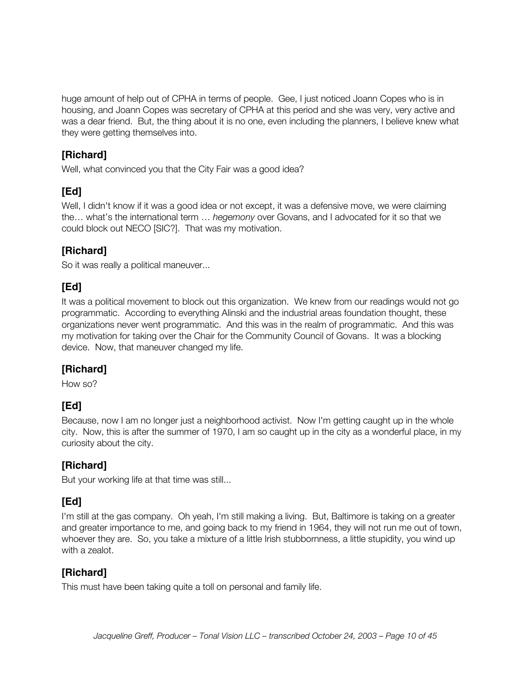huge amount of help out of CPHA in terms of people. Gee, I just noticed Joann Copes who is in housing, and Joann Copes was secretary of CPHA at this period and she was very, very active and was a dear friend. But, the thing about it is no one, even including the planners, I believe knew what they were getting themselves into.

#### **[Richard]**

Well, what convinced you that the City Fair was a good idea?

## **[Ed]**

Well, I didn't know if it was a good idea or not except, it was a defensive move, we were claiming the… what's the international term … *hegemony* over Govans, and I advocated for it so that we could block out NECO [SIC?]. That was my motivation.

## **[Richard]**

So it was really a political maneuver...

## **[Ed]**

It was a political movement to block out this organization. We knew from our readings would not go programmatic. According to everything Alinski and the industrial areas foundation thought, these organizations never went programmatic. And this was in the realm of programmatic. And this was my motivation for taking over the Chair for the Community Council of Govans. It was a blocking device. Now, that maneuver changed my life.

# **[Richard]**

How so?

# **[Ed]**

Because, now I am no longer just a neighborhood activist. Now I'm getting caught up in the whole city. Now, this is after the summer of 1970, I am so caught up in the city as a wonderful place, in my curiosity about the city.

## **[Richard]**

But your working life at that time was still...

# **[Ed]**

I'm still at the gas company. Oh yeah, I'm still making a living. But, Baltimore is taking on a greater and greater importance to me, and going back to my friend in 1964, they will not run me out of town, whoever they are. So, you take a mixture of a little Irish stubbornness, a little stupidity, you wind up with a zealot.

#### **[Richard]**

This must have been taking quite a toll on personal and family life.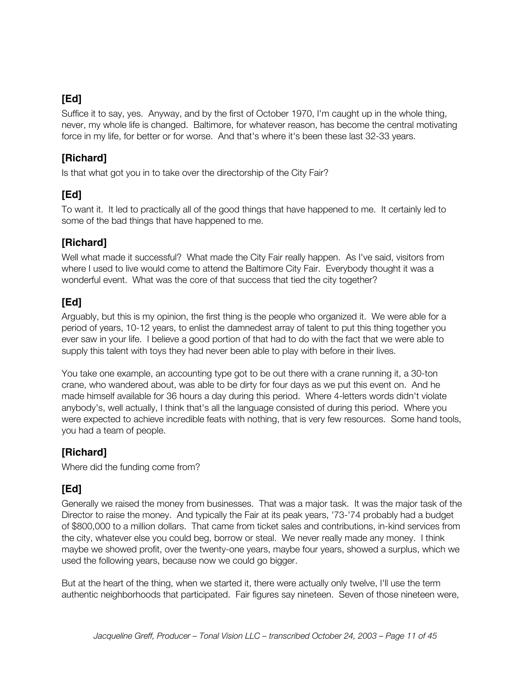Suffice it to say, yes. Anyway, and by the first of October 1970, I'm caught up in the whole thing, never, my whole life is changed. Baltimore, for whatever reason, has become the central motivating force in my life, for better or for worse. And that's where it's been these last 32-33 years.

## **[Richard]**

Is that what got you in to take over the directorship of the City Fair?

# **[Ed]**

To want it. It led to practically all of the good things that have happened to me. It certainly led to some of the bad things that have happened to me.

# **[Richard]**

Well what made it successful? What made the City Fair really happen. As I've said, visitors from where I used to live would come to attend the Baltimore City Fair. Everybody thought it was a wonderful event. What was the core of that success that tied the city together?

# **[Ed]**

Arguably, but this is my opinion, the first thing is the people who organized it. We were able for a period of years, 10-12 years, to enlist the damnedest array of talent to put this thing together you ever saw in your life. I believe a good portion of that had to do with the fact that we were able to supply this talent with toys they had never been able to play with before in their lives.

You take one example, an accounting type got to be out there with a crane running it, a 30-ton crane, who wandered about, was able to be dirty for four days as we put this event on. And he made himself available for 36 hours a day during this period. Where 4-letters words didn't violate anybody's, well actually, I think that's all the language consisted of during this period. Where you were expected to achieve incredible feats with nothing, that is very few resources. Some hand tools, you had a team of people.

## **[Richard]**

Where did the funding come from?

# **[Ed]**

Generally we raised the money from businesses. That was a major task. It was the major task of the Director to raise the money. And typically the Fair at its peak years, '73-'74 probably had a budget of \$800,000 to a million dollars. That came from ticket sales and contributions, in-kind services from the city, whatever else you could beg, borrow or steal. We never really made any money. I think maybe we showed profit, over the twenty-one years, maybe four years, showed a surplus, which we used the following years, because now we could go bigger.

But at the heart of the thing, when we started it, there were actually only twelve, I'll use the term authentic neighborhoods that participated. Fair figures say nineteen. Seven of those nineteen were,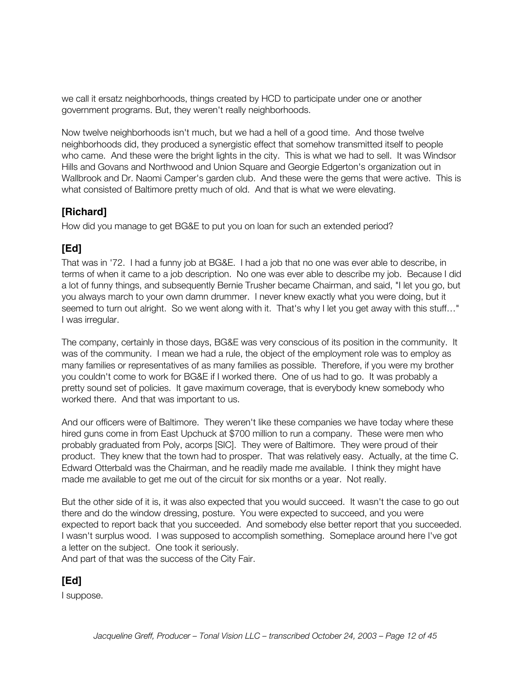we call it ersatz neighborhoods, things created by HCD to participate under one or another government programs. But, they weren't really neighborhoods.

Now twelve neighborhoods isn't much, but we had a hell of a good time. And those twelve neighborhoods did, they produced a synergistic effect that somehow transmitted itself to people who came. And these were the bright lights in the city. This is what we had to sell. It was Windsor Hills and Govans and Northwood and Union Square and Georgie Edgerton's organization out in Wallbrook and Dr. Naomi Camper's garden club. And these were the gems that were active. This is what consisted of Baltimore pretty much of old. And that is what we were elevating.

#### **[Richard]**

How did you manage to get BG&E to put you on loan for such an extended period?

#### **[Ed]**

That was in '72. I had a funny job at BG&E. I had a job that no one was ever able to describe, in terms of when it came to a job description. No one was ever able to describe my job. Because I did a lot of funny things, and subsequently Bernie Trusher became Chairman, and said, "I let you go, but you always march to your own damn drummer. I never knew exactly what you were doing, but it seemed to turn out alright. So we went along with it. That's why I let you get away with this stuff…" I was irregular.

The company, certainly in those days, BG&E was very conscious of its position in the community. It was of the community. I mean we had a rule, the object of the employment role was to employ as many families or representatives of as many families as possible. Therefore, if you were my brother you couldn't come to work for BG&E if I worked there. One of us had to go. It was probably a pretty sound set of policies. It gave maximum coverage, that is everybody knew somebody who worked there. And that was important to us.

And our officers were of Baltimore. They weren't like these companies we have today where these hired guns come in from East Upchuck at \$700 million to run a company. These were men who probably graduated from Poly, acorps [SIC]. They were of Baltimore. They were proud of their product. They knew that the town had to prosper. That was relatively easy. Actually, at the time C. Edward Otterbald was the Chairman, and he readily made me available. I think they might have made me available to get me out of the circuit for six months or a year. Not really.

But the other side of it is, it was also expected that you would succeed. It wasn't the case to go out there and do the window dressing, posture. You were expected to succeed, and you were expected to report back that you succeeded. And somebody else better report that you succeeded. I wasn't surplus wood. I was supposed to accomplish something. Someplace around here I've got a letter on the subject. One took it seriously. And part of that was the success of the City Fair.

#### **[Ed]**

I suppose.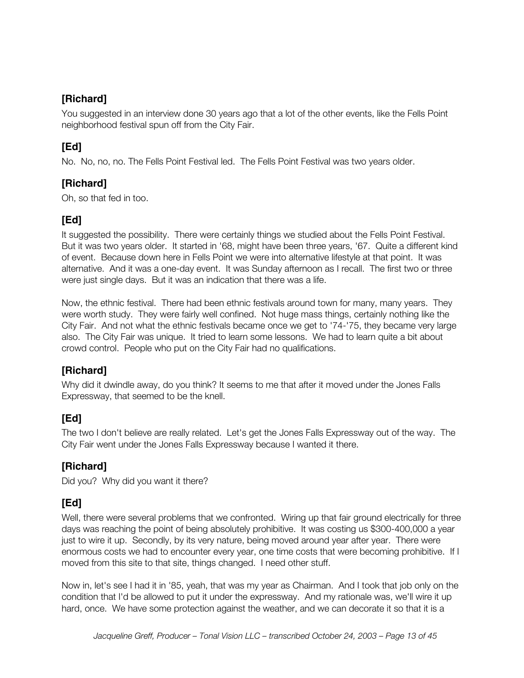You suggested in an interview done 30 years ago that a lot of the other events, like the Fells Point neighborhood festival spun off from the City Fair.

# **[Ed]**

No. No, no, no. The Fells Point Festival led. The Fells Point Festival was two years older.

#### **[Richard]**

Oh, so that fed in too.

## **[Ed]**

It suggested the possibility. There were certainly things we studied about the Fells Point Festival. But it was two years older. It started in '68, might have been three years, '67. Quite a different kind of event. Because down here in Fells Point we were into alternative lifestyle at that point. It was alternative. And it was a one-day event. It was Sunday afternoon as I recall. The first two or three were just single days. But it was an indication that there was a life.

Now, the ethnic festival. There had been ethnic festivals around town for many, many years. They were worth study. They were fairly well confined. Not huge mass things, certainly nothing like the City Fair. And not what the ethnic festivals became once we get to '74-'75, they became very large also. The City Fair was unique. It tried to learn some lessons. We had to learn quite a bit about crowd control. People who put on the City Fair had no qualifications.

# **[Richard]**

Why did it dwindle away, do you think? It seems to me that after it moved under the Jones Falls Expressway, that seemed to be the knell.

## **[Ed]**

The two I don't believe are really related. Let's get the Jones Falls Expressway out of the way. The City Fair went under the Jones Falls Expressway because I wanted it there.

## **[Richard]**

Did you? Why did you want it there?

# **[Ed]**

Well, there were several problems that we confronted. Wiring up that fair ground electrically for three days was reaching the point of being absolutely prohibitive. It was costing us \$300-400,000 a year just to wire it up. Secondly, by its very nature, being moved around year after year. There were enormous costs we had to encounter every year, one time costs that were becoming prohibitive. If I moved from this site to that site, things changed. I need other stuff.

Now in, let's see I had it in '85, yeah, that was my year as Chairman. And I took that job only on the condition that I'd be allowed to put it under the expressway. And my rationale was, we'll wire it up hard, once. We have some protection against the weather, and we can decorate it so that it is a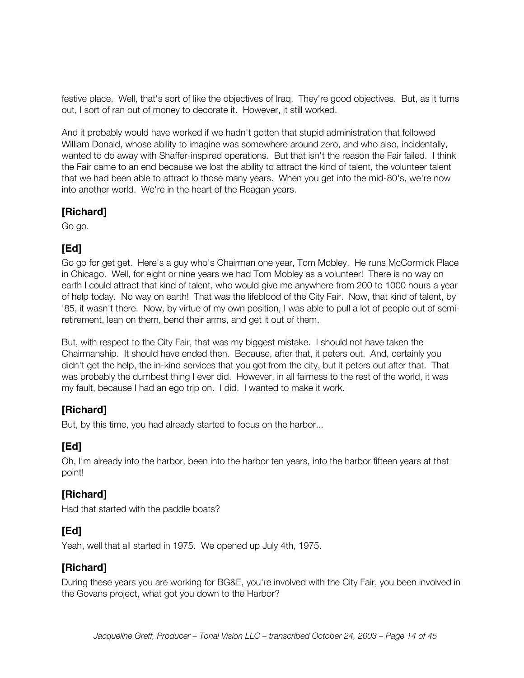festive place. Well, that's sort of like the objectives of Iraq. They're good objectives. But, as it turns out, I sort of ran out of money to decorate it. However, it still worked.

And it probably would have worked if we hadn't gotten that stupid administration that followed William Donald, whose ability to imagine was somewhere around zero, and who also, incidentally, wanted to do away with Shaffer-inspired operations. But that isn't the reason the Fair failed. I think the Fair came to an end because we lost the ability to attract the kind of talent, the volunteer talent that we had been able to attract lo those many years. When you get into the mid-80's, we're now into another world. We're in the heart of the Reagan years.

#### **[Richard]**

Go go.

## **[Ed]**

Go go for get get. Here's a guy who's Chairman one year, Tom Mobley. He runs McCormick Place in Chicago. Well, for eight or nine years we had Tom Mobley as a volunteer! There is no way on earth I could attract that kind of talent, who would give me anywhere from 200 to 1000 hours a year of help today. No way on earth! That was the lifeblood of the City Fair. Now, that kind of talent, by '85, it wasn't there. Now, by virtue of my own position, I was able to pull a lot of people out of semiretirement, lean on them, bend their arms, and get it out of them.

But, with respect to the City Fair, that was my biggest mistake. I should not have taken the Chairmanship. It should have ended then. Because, after that, it peters out. And, certainly you didn't get the help, the in-kind services that you got from the city, but it peters out after that. That was probably the dumbest thing I ever did. However, in all fairness to the rest of the world, it was my fault, because I had an ego trip on. I did. I wanted to make it work.

#### **[Richard]**

But, by this time, you had already started to focus on the harbor...

# **[Ed]**

Oh, I'm already into the harbor, been into the harbor ten years, into the harbor fifteen years at that point!

#### **[Richard]**

Had that started with the paddle boats?

#### **[Ed]**

Yeah, well that all started in 1975. We opened up July 4th, 1975.

## **[Richard]**

During these years you are working for BG&E, you're involved with the City Fair, you been involved in the Govans project, what got you down to the Harbor?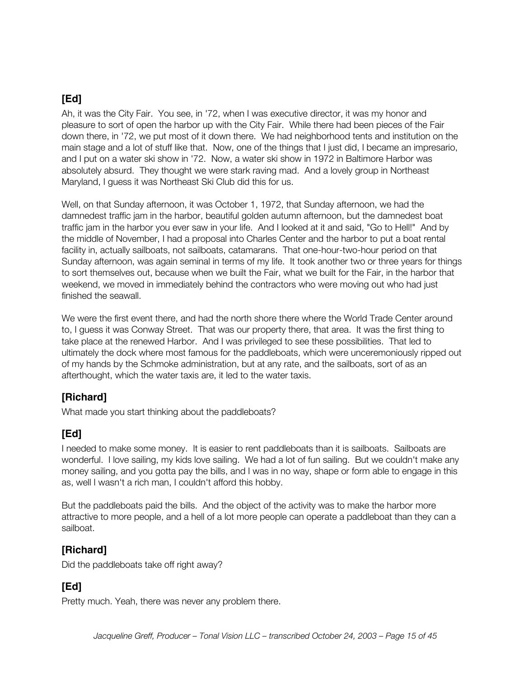Ah, it was the City Fair. You see, in '72, when I was executive director, it was my honor and pleasure to sort of open the harbor up with the City Fair. While there had been pieces of the Fair down there, in '72, we put most of it down there. We had neighborhood tents and institution on the main stage and a lot of stuff like that. Now, one of the things that I just did, I became an impresario, and I put on a water ski show in '72. Now, a water ski show in 1972 in Baltimore Harbor was absolutely absurd. They thought we were stark raving mad. And a lovely group in Northeast Maryland, I guess it was Northeast Ski Club did this for us.

Well, on that Sunday afternoon, it was October 1, 1972, that Sunday afternoon, we had the damnedest traffic jam in the harbor, beautiful golden autumn afternoon, but the damnedest boat traffic jam in the harbor you ever saw in your life. And I looked at it and said, "Go to Hell!" And by the middle of November, I had a proposal into Charles Center and the harbor to put a boat rental facility in, actually sailboats, not sailboats, catamarans. That one-hour-two-hour period on that Sunday afternoon, was again seminal in terms of my life. It took another two or three years for things to sort themselves out, because when we built the Fair, what we built for the Fair, in the harbor that weekend, we moved in immediately behind the contractors who were moving out who had just finished the seawall.

We were the first event there, and had the north shore there where the World Trade Center around to, I guess it was Conway Street. That was our property there, that area. It was the first thing to take place at the renewed Harbor. And I was privileged to see these possibilities. That led to ultimately the dock where most famous for the paddleboats, which were unceremoniously ripped out of my hands by the Schmoke administration, but at any rate, and the sailboats, sort of as an afterthought, which the water taxis are, it led to the water taxis.

#### **[Richard]**

What made you start thinking about the paddleboats?

# **[Ed]**

I needed to make some money. It is easier to rent paddleboats than it is sailboats. Sailboats are wonderful. I love sailing, my kids love sailing. We had a lot of fun sailing. But we couldn't make any money sailing, and you gotta pay the bills, and I was in no way, shape or form able to engage in this as, well I wasn't a rich man, I couldn't afford this hobby.

But the paddleboats paid the bills. And the object of the activity was to make the harbor more attractive to more people, and a hell of a lot more people can operate a paddleboat than they can a sailboat.

#### **[Richard]**

Did the paddleboats take off right away?

# **[Ed]**

Pretty much. Yeah, there was never any problem there.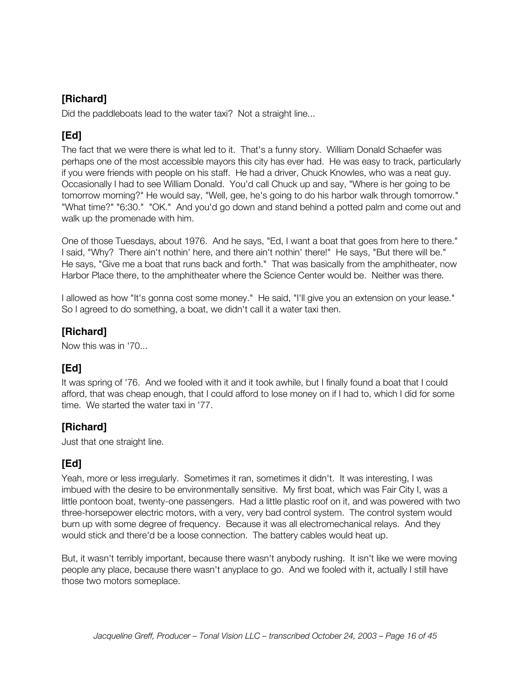Did the paddleboats lead to the water taxi? Not a straight line...

## **[Ed]**

The fact that we were there is what led to it. That's a funny story. William Donald Schaefer was perhaps one of the most accessible mayors this city has ever had. He was easy to track, particularly if you were friends with people on his staff. He had a driver, Chuck Knowles, who was a neat guy. Occasionally I had to see William Donald. You'd call Chuck up and say, "Where is her going to be tomorrow morning?" He would say, "Well, gee, he's going to do his harbor walk through tomorrow." "What time?" "6:30." "OK." And you'd go down and stand behind a potted palm and come out and walk up the promenade with him.

One of those Tuesdays, about 1976. And he says, "Ed, I want a boat that goes from here to there." I said, "Why? There ain't nothin' here, and there ain't nothin' there!" He says, "But there will be." He says, "Give me a boat that runs back and forth." That was basically from the amphitheater, now Harbor Place there, to the amphitheater where the Science Center would be. Neither was there.

I allowed as how "It's gonna cost some money." He said, "I'll give you an extension on your lease." So I agreed to do something, a boat, we didn't call it a water taxi then.

## **[Richard]**

Now this was in '70...

## **[Ed]**

It was spring of '76. And we fooled with it and it took awhile, but I finally found a boat that I could afford, that was cheap enough, that I could afford to lose money on if I had to, which I did for some time. We started the water taxi in '77.

## **[Richard]**

Just that one straight line.

# **[Ed]**

Yeah, more or less irregularly. Sometimes it ran, sometimes it didn't. It was interesting, I was imbued with the desire to be environmentally sensitive. My first boat, which was Fair City I, was a little pontoon boat, twenty-one passengers. Had a little plastic roof on it, and was powered with two three-horsepower electric motors, with a very, very bad control system. The control system would burn up with some degree of frequency. Because it was all electromechanical relays. And they would stick and there'd be a loose connection. The battery cables would heat up.

But, it wasn't terribly important, because there wasn't anybody rushing. It isn't like we were moving people any place, because there wasn't anyplace to go. And we fooled with it, actually I still have those two motors someplace.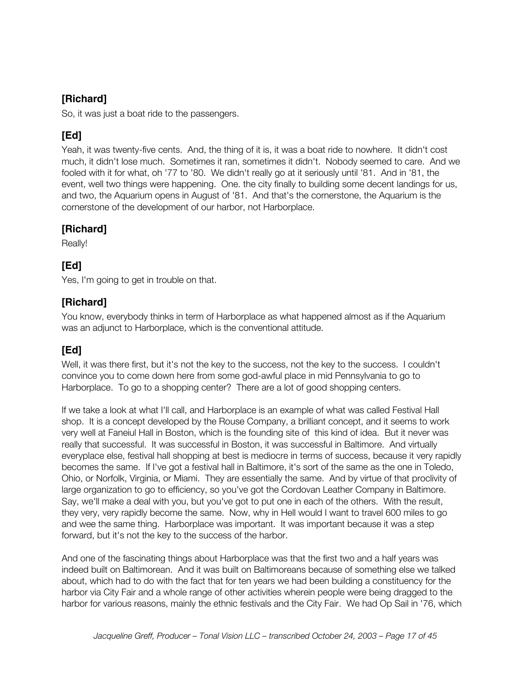So, it was just a boat ride to the passengers.

## **[Ed]**

Yeah, it was twenty-five cents. And, the thing of it is, it was a boat ride to nowhere. It didn't cost much, it didn't lose much. Sometimes it ran, sometimes it didn't. Nobody seemed to care. And we fooled with it for what, oh '77 to '80. We didn't really go at it seriously until '81. And in '81, the event, well two things were happening. One. the city finally to building some decent landings for us, and two, the Aquarium opens in August of '81. And that's the cornerstone, the Aquarium is the cornerstone of the development of our harbor, not Harborplace.

## **[Richard]**

Really!

## **[Ed]**

Yes, I'm going to get in trouble on that.

#### **[Richard]**

You know, everybody thinks in term of Harborplace as what happened almost as if the Aquarium was an adjunct to Harborplace, which is the conventional attitude.

## **[Ed]**

Well, it was there first, but it's not the key to the success, not the key to the success. I couldn't convince you to come down here from some god-awful place in mid Pennsylvania to go to Harborplace. To go to a shopping center? There are a lot of good shopping centers.

If we take a look at what I'll call, and Harborplace is an example of what was called Festival Hall shop. It is a concept developed by the Rouse Company, a brilliant concept, and it seems to work very well at Faneiul Hall in Boston, which is the founding site of this kind of idea. But it never was really that successful. It was successful in Boston, it was successful in Baltimore. And virtually everyplace else, festival hall shopping at best is mediocre in terms of success, because it very rapidly becomes the same. If I've got a festival hall in Baltimore, it's sort of the same as the one in Toledo, Ohio, or Norfolk, Virginia, or Miami. They are essentially the same. And by virtue of that proclivity of large organization to go to efficiency, so you've got the Cordovan Leather Company in Baltimore. Say, we'll make a deal with you, but you've got to put one in each of the others. With the result, they very, very rapidly become the same. Now, why in Hell would I want to travel 600 miles to go and wee the same thing. Harborplace was important. It was important because it was a step forward, but it's not the key to the success of the harbor.

And one of the fascinating things about Harborplace was that the first two and a half years was indeed built on Baltimorean. And it was built on Baltimoreans because of something else we talked about, which had to do with the fact that for ten years we had been building a constituency for the harbor via City Fair and a whole range of other activities wherein people were being dragged to the harbor for various reasons, mainly the ethnic festivals and the City Fair. We had Op Sail in '76, which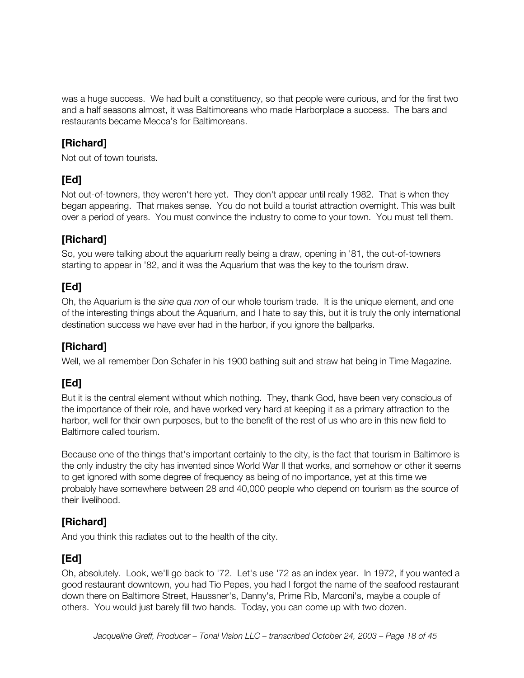was a huge success. We had built a constituency, so that people were curious, and for the first two and a half seasons almost, it was Baltimoreans who made Harborplace a success. The bars and restaurants became Mecca's for Baltimoreans.

#### **[Richard]**

Not out of town tourists.

## **[Ed]**

Not out-of-towners, they weren't here yet. They don't appear until really 1982. That is when they began appearing. That makes sense. You do not build a tourist attraction overnight. This was built over a period of years. You must convince the industry to come to your town. You must tell them.

#### **[Richard]**

So, you were talking about the aquarium really being a draw, opening in '81, the out-of-towners starting to appear in '82, and it was the Aquarium that was the key to the tourism draw.

## **[Ed]**

Oh, the Aquarium is the *sine qua non* of our whole tourism trade. It is the unique element, and one of the interesting things about the Aquarium, and I hate to say this, but it is truly the only international destination success we have ever had in the harbor, if you ignore the ballparks.

## **[Richard]**

Well, we all remember Don Schafer in his 1900 bathing suit and straw hat being in Time Magazine.

## **[Ed]**

But it is the central element without which nothing. They, thank God, have been very conscious of the importance of their role, and have worked very hard at keeping it as a primary attraction to the harbor, well for their own purposes, but to the benefit of the rest of us who are in this new field to Baltimore called tourism.

Because one of the things that's important certainly to the city, is the fact that tourism in Baltimore is the only industry the city has invented since World War II that works, and somehow or other it seems to get ignored with some degree of frequency as being of no importance, yet at this time we probably have somewhere between 28 and 40,000 people who depend on tourism as the source of their livelihood.

#### **[Richard]**

And you think this radiates out to the health of the city.

#### **[Ed]**

Oh, absolutely. Look, we'll go back to '72. Let's use '72 as an index year. In 1972, if you wanted a good restaurant downtown, you had Tio Pepes, you had I forgot the name of the seafood restaurant down there on Baltimore Street, Haussner's, Danny's, Prime Rib, Marconi's, maybe a couple of others. You would just barely fill two hands. Today, you can come up with two dozen.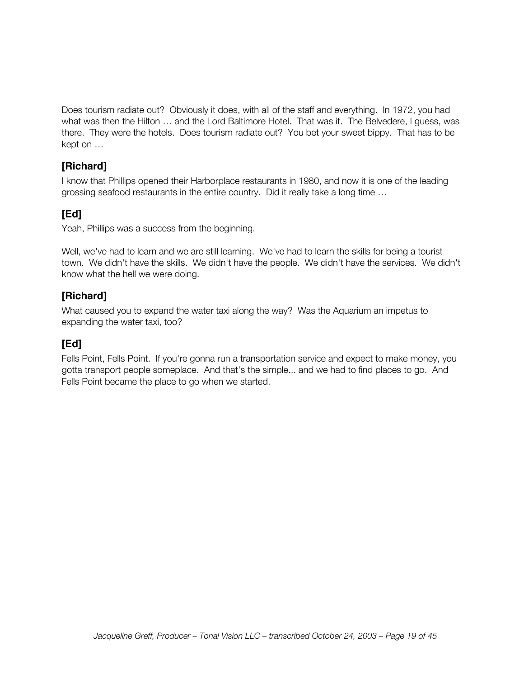Does tourism radiate out? Obviously it does, with all of the staff and everything. In 1972, you had what was then the Hilton … and the Lord Baltimore Hotel. That was it. The Belvedere, I guess, was there. They were the hotels. Does tourism radiate out? You bet your sweet bippy. That has to be kept on …

#### **[Richard]**

I know that Phillips opened their Harborplace restaurants in 1980, and now it is one of the leading grossing seafood restaurants in the entire country. Did it really take a long time …

## **[Ed]**

Yeah, Phillips was a success from the beginning.

Well, we've had to learn and we are still learning. We've had to learn the skills for being a tourist town. We didn't have the skills. We didn't have the people. We didn't have the services. We didn't know what the hell we were doing.

#### **[Richard]**

What caused you to expand the water taxi along the way? Was the Aquarium an impetus to expanding the water taxi, too?

#### **[Ed]**

Fells Point, Fells Point. If you're gonna run a transportation service and expect to make money, you gotta transport people someplace. And that's the simple... and we had to find places to go. And Fells Point became the place to go when we started.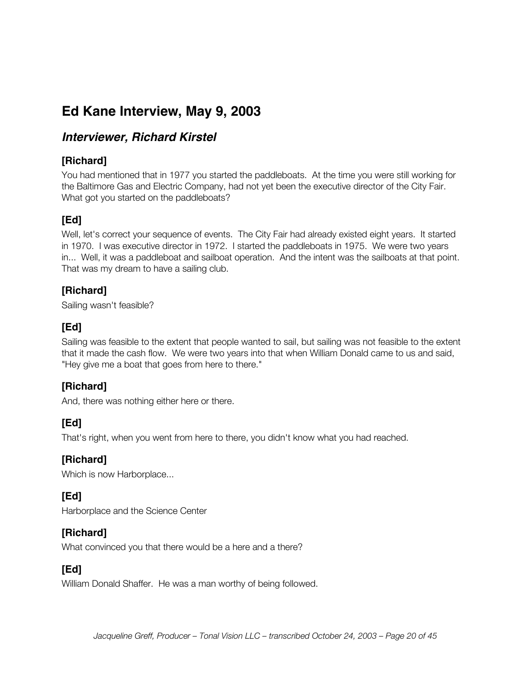# **Ed Kane Interview, May 9, 2003**

## **Interviewer, Richard Kirstel**

#### **[Richard]**

You had mentioned that in 1977 you started the paddleboats. At the time you were still working for the Baltimore Gas and Electric Company, had not yet been the executive director of the City Fair. What got you started on the paddleboats?

## **[Ed]**

Well, let's correct your sequence of events. The City Fair had already existed eight years. It started in 1970. I was executive director in 1972. I started the paddleboats in 1975. We were two years in... Well, it was a paddleboat and sailboat operation. And the intent was the sailboats at that point. That was my dream to have a sailing club.

#### **[Richard]**

Sailing wasn't feasible?

## **[Ed]**

Sailing was feasible to the extent that people wanted to sail, but sailing was not feasible to the extent that it made the cash flow. We were two years into that when William Donald came to us and said, "Hey give me a boat that goes from here to there."

## **[Richard]**

And, there was nothing either here or there.

## **[Ed]**

That's right, when you went from here to there, you didn't know what you had reached.

#### **[Richard]**

Which is now Harborplace...

## **[Ed]**

Harborplace and the Science Center

#### **[Richard]**

What convinced you that there would be a here and a there?

#### **[Ed]**

William Donald Shaffer. He was a man worthy of being followed.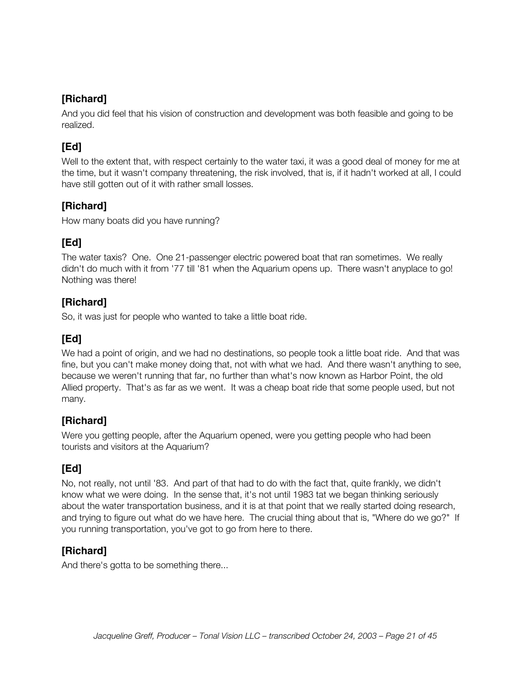And you did feel that his vision of construction and development was both feasible and going to be realized.

# **[Ed]**

Well to the extent that, with respect certainly to the water taxi, it was a good deal of money for me at the time, but it wasn't company threatening, the risk involved, that is, if it hadn't worked at all, I could have still gotten out of it with rather small losses.

## **[Richard]**

How many boats did you have running?

# **[Ed]**

The water taxis? One. One 21-passenger electric powered boat that ran sometimes. We really didn't do much with it from '77 till '81 when the Aquarium opens up. There wasn't anyplace to go! Nothing was there!

## **[Richard]**

So, it was just for people who wanted to take a little boat ride.

# **[Ed]**

We had a point of origin, and we had no destinations, so people took a little boat ride. And that was fine, but you can't make money doing that, not with what we had. And there wasn't anything to see, because we weren't running that far, no further than what's now known as Harbor Point, the old Allied property. That's as far as we went. It was a cheap boat ride that some people used, but not many.

## **[Richard]**

Were you getting people, after the Aquarium opened, were you getting people who had been tourists and visitors at the Aquarium?

# **[Ed]**

No, not really, not until '83. And part of that had to do with the fact that, quite frankly, we didn't know what we were doing. In the sense that, it's not until 1983 tat we began thinking seriously about the water transportation business, and it is at that point that we really started doing research, and trying to figure out what do we have here. The crucial thing about that is, "Where do we go?" If you running transportation, you've got to go from here to there.

## **[Richard]**

And there's gotta to be something there...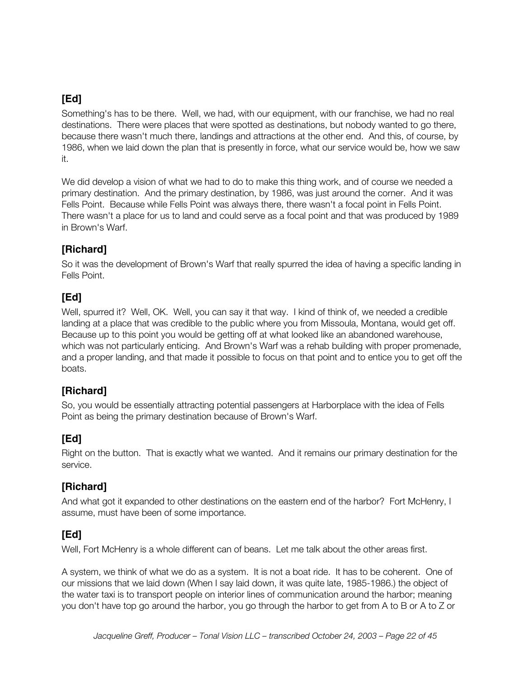Something's has to be there. Well, we had, with our equipment, with our franchise, we had no real destinations. There were places that were spotted as destinations, but nobody wanted to go there, because there wasn't much there, landings and attractions at the other end. And this, of course, by 1986, when we laid down the plan that is presently in force, what our service would be, how we saw it.

We did develop a vision of what we had to do to make this thing work, and of course we needed a primary destination. And the primary destination, by 1986, was just around the corner. And it was Fells Point. Because while Fells Point was always there, there wasn't a focal point in Fells Point. There wasn't a place for us to land and could serve as a focal point and that was produced by 1989 in Brown's Warf.

## **[Richard]**

So it was the development of Brown's Warf that really spurred the idea of having a specific landing in Fells Point.

#### **[Ed]**

Well, spurred it? Well, OK. Well, you can say it that way. I kind of think of, we needed a credible landing at a place that was credible to the public where you from Missoula, Montana, would get off. Because up to this point you would be getting off at what looked like an abandoned warehouse, which was not particularly enticing. And Brown's Warf was a rehab building with proper promenade, and a proper landing, and that made it possible to focus on that point and to entice you to get off the boats.

#### **[Richard]**

So, you would be essentially attracting potential passengers at Harborplace with the idea of Fells Point as being the primary destination because of Brown's Warf.

#### **[Ed]**

Right on the button. That is exactly what we wanted. And it remains our primary destination for the service.

#### **[Richard]**

And what got it expanded to other destinations on the eastern end of the harbor? Fort McHenry, I assume, must have been of some importance.

#### **[Ed]**

Well, Fort McHenry is a whole different can of beans. Let me talk about the other areas first.

A system, we think of what we do as a system. It is not a boat ride. It has to be coherent. One of our missions that we laid down (When I say laid down, it was quite late, 1985-1986.) the object of the water taxi is to transport people on interior lines of communication around the harbor; meaning you don't have top go around the harbor, you go through the harbor to get from A to B or A to Z or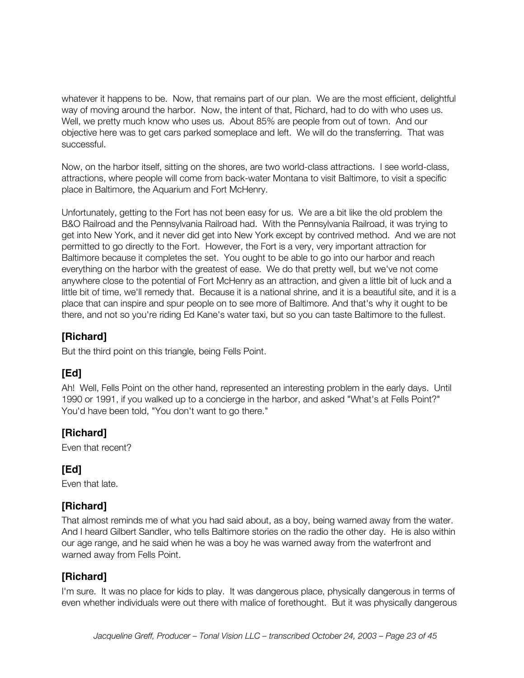whatever it happens to be. Now, that remains part of our plan. We are the most efficient, delightful way of moving around the harbor. Now, the intent of that, Richard, had to do with who uses us. Well, we pretty much know who uses us. About 85% are people from out of town. And our objective here was to get cars parked someplace and left. We will do the transferring. That was successful.

Now, on the harbor itself, sitting on the shores, are two world-class attractions. I see world-class, attractions, where people will come from back-water Montana to visit Baltimore, to visit a specific place in Baltimore, the Aquarium and Fort McHenry.

Unfortunately, getting to the Fort has not been easy for us. We are a bit like the old problem the B&O Railroad and the Pennsylvania Railroad had. With the Pennsylvania Railroad, it was trying to get into New York, and it never did get into New York except by contrived method. And we are not permitted to go directly to the Fort. However, the Fort is a very, very important attraction for Baltimore because it completes the set. You ought to be able to go into our harbor and reach everything on the harbor with the greatest of ease. We do that pretty well, but we've not come anywhere close to the potential of Fort McHenry as an attraction, and given a little bit of luck and a little bit of time, we'll remedy that. Because it is a national shrine, and it is a beautiful site, and it is a place that can inspire and spur people on to see more of Baltimore. And that's why it ought to be there, and not so you're riding Ed Kane's water taxi, but so you can taste Baltimore to the fullest.

#### **[Richard]**

But the third point on this triangle, being Fells Point.

## **[Ed]**

Ah! Well, Fells Point on the other hand, represented an interesting problem in the early days. Until 1990 or 1991, if you walked up to a concierge in the harbor, and asked "What's at Fells Point?" You'd have been told, "You don't want to go there."

## **[Richard]**

Even that recent?

# **[Ed]**

Even that late.

#### **[Richard]**

That almost reminds me of what you had said about, as a boy, being warned away from the water. And I heard Gilbert Sandler, who tells Baltimore stories on the radio the other day. He is also within our age range, and he said when he was a boy he was warned away from the waterfront and warned away from Fells Point.

#### **[Richard]**

I'm sure. It was no place for kids to play. It was dangerous place, physically dangerous in terms of even whether individuals were out there with malice of forethought. But it was physically dangerous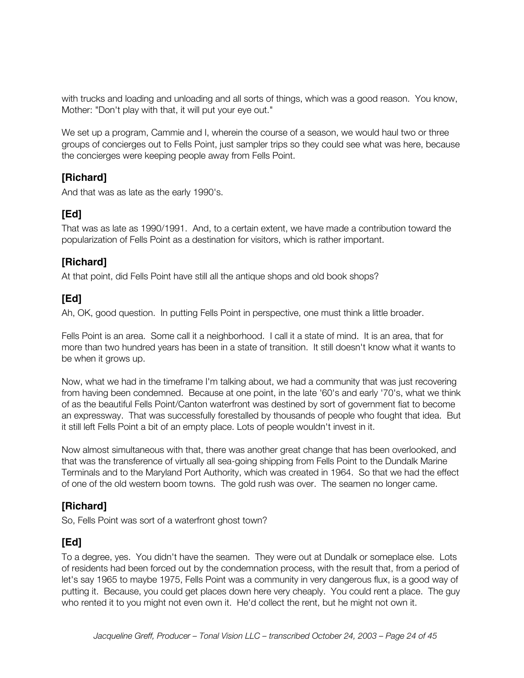with trucks and loading and unloading and all sorts of things, which was a good reason. You know, Mother: "Don't play with that, it will put your eye out."

We set up a program, Cammie and I, wherein the course of a season, we would haul two or three groups of concierges out to Fells Point, just sampler trips so they could see what was here, because the concierges were keeping people away from Fells Point.

#### **[Richard]**

And that was as late as the early 1990's.

## **[Ed]**

That was as late as 1990/1991. And, to a certain extent, we have made a contribution toward the popularization of Fells Point as a destination for visitors, which is rather important.

#### **[Richard]**

At that point, did Fells Point have still all the antique shops and old book shops?

#### **[Ed]**

Ah, OK, good question. In putting Fells Point in perspective, one must think a little broader.

Fells Point is an area. Some call it a neighborhood. I call it a state of mind. It is an area, that for more than two hundred years has been in a state of transition. It still doesn't know what it wants to be when it grows up.

Now, what we had in the timeframe I'm talking about, we had a community that was just recovering from having been condemned. Because at one point, in the late '60's and early '70's, what we think of as the beautiful Fells Point/Canton waterfront was destined by sort of government fiat to become an expressway. That was successfully forestalled by thousands of people who fought that idea. But it still left Fells Point a bit of an empty place. Lots of people wouldn't invest in it.

Now almost simultaneous with that, there was another great change that has been overlooked, and that was the transference of virtually all sea-going shipping from Fells Point to the Dundalk Marine Terminals and to the Maryland Port Authority, which was created in 1964. So that we had the effect of one of the old western boom towns. The gold rush was over. The seamen no longer came.

#### **[Richard]**

So, Fells Point was sort of a waterfront ghost town?

## **[Ed]**

To a degree, yes. You didn't have the seamen. They were out at Dundalk or someplace else. Lots of residents had been forced out by the condemnation process, with the result that, from a period of let's say 1965 to maybe 1975, Fells Point was a community in very dangerous flux, is a good way of putting it. Because, you could get places down here very cheaply. You could rent a place. The guy who rented it to you might not even own it. He'd collect the rent, but he might not own it.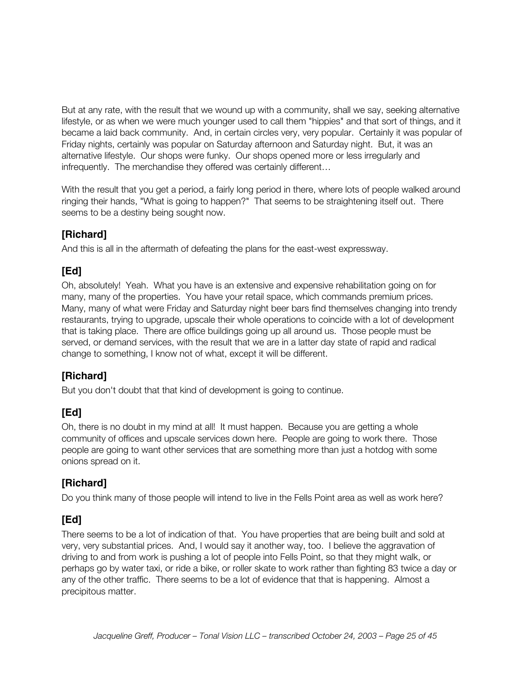But at any rate, with the result that we wound up with a community, shall we say, seeking alternative lifestyle, or as when we were much younger used to call them "hippies" and that sort of things, and it became a laid back community. And, in certain circles very, very popular. Certainly it was popular of Friday nights, certainly was popular on Saturday afternoon and Saturday night. But, it was an alternative lifestyle. Our shops were funky. Our shops opened more or less irregularly and infrequently. The merchandise they offered was certainly different…

With the result that you get a period, a fairly long period in there, where lots of people walked around ringing their hands, "What is going to happen?" That seems to be straightening itself out. There seems to be a destiny being sought now.

## **[Richard]**

And this is all in the aftermath of defeating the plans for the east-west expressway.

# **[Ed]**

Oh, absolutely! Yeah. What you have is an extensive and expensive rehabilitation going on for many, many of the properties. You have your retail space, which commands premium prices. Many, many of what were Friday and Saturday night beer bars find themselves changing into trendy restaurants, trying to upgrade, upscale their whole operations to coincide with a lot of development that is taking place. There are office buildings going up all around us. Those people must be served, or demand services, with the result that we are in a latter day state of rapid and radical change to something, I know not of what, except it will be different.

## **[Richard]**

But you don't doubt that that kind of development is going to continue.

# **[Ed]**

Oh, there is no doubt in my mind at all! It must happen. Because you are getting a whole community of offices and upscale services down here. People are going to work there. Those people are going to want other services that are something more than just a hotdog with some onions spread on it.

# **[Richard]**

Do you think many of those people will intend to live in the Fells Point area as well as work here?

## **[Ed]**

There seems to be a lot of indication of that. You have properties that are being built and sold at very, very substantial prices. And, I would say it another way, too. I believe the aggravation of driving to and from work is pushing a lot of people into Fells Point, so that they might walk, or perhaps go by water taxi, or ride a bike, or roller skate to work rather than fighting 83 twice a day or any of the other traffic. There seems to be a lot of evidence that that is happening. Almost a precipitous matter.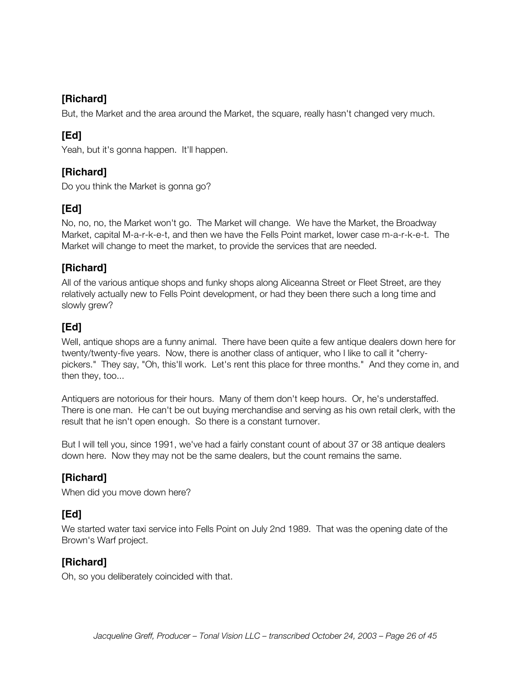But, the Market and the area around the Market, the square, really hasn't changed very much.

## **[Ed]**

Yeah, but it's gonna happen. It'll happen.

## **[Richard]**

Do you think the Market is gonna go?

# **[Ed]**

No, no, no, the Market won't go. The Market will change. We have the Market, the Broadway Market, capital M-a-r-k-e-t, and then we have the Fells Point market, lower case m-a-r-k-e-t. The Market will change to meet the market, to provide the services that are needed.

#### **[Richard]**

All of the various antique shops and funky shops along Aliceanna Street or Fleet Street, are they relatively actually new to Fells Point development, or had they been there such a long time and slowly grew?

## **[Ed]**

Well, antique shops are a funny animal. There have been quite a few antique dealers down here for twenty/twenty-five years. Now, there is another class of antiquer, who I like to call it "cherrypickers." They say, "Oh, this'll work. Let's rent this place for three months." And they come in, and then they, too...

Antiquers are notorious for their hours. Many of them don't keep hours. Or, he's understaffed. There is one man. He can't be out buying merchandise and serving as his own retail clerk, with the result that he isn't open enough. So there is a constant turnover.

But I will tell you, since 1991, we've had a fairly constant count of about 37 or 38 antique dealers down here. Now they may not be the same dealers, but the count remains the same.

## **[Richard]**

When did you move down here?

# **[Ed]**

We started water taxi service into Fells Point on July 2nd 1989. That was the opening date of the Brown's Warf project.

#### **[Richard]**

Oh, so you deliberately coincided with that.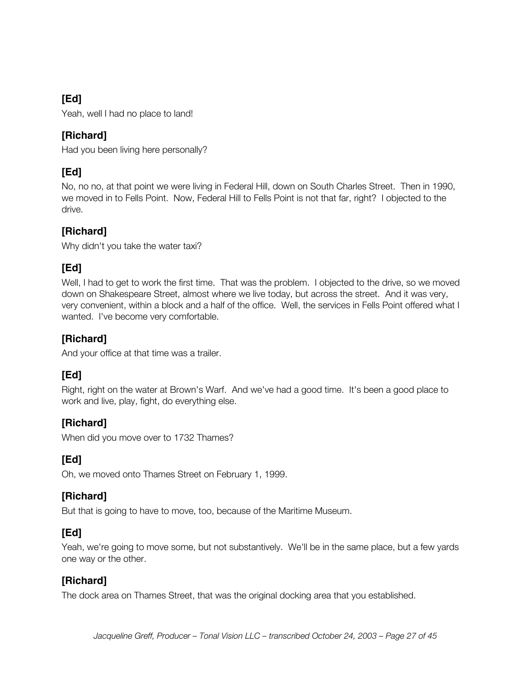Yeah, well I had no place to land!

#### **[Richard]**

Had you been living here personally?

# **[Ed]**

No, no no, at that point we were living in Federal Hill, down on South Charles Street. Then in 1990, we moved in to Fells Point. Now, Federal Hill to Fells Point is not that far, right? I objected to the drive.

## **[Richard]**

Why didn't you take the water taxi?

## **[Ed]**

Well, I had to get to work the first time. That was the problem. I objected to the drive, so we moved down on Shakespeare Street, almost where we live today, but across the street. And it was very, very convenient, within a block and a half of the office. Well, the services in Fells Point offered what I wanted. I've become very comfortable.

#### **[Richard]**

And your office at that time was a trailer.

## **[Ed]**

Right, right on the water at Brown's Warf. And we've had a good time. It's been a good place to work and live, play, fight, do everything else.

#### **[Richard]**

When did you move over to 1732 Thames?

# **[Ed]**

Oh, we moved onto Thames Street on February 1, 1999.

## **[Richard]**

But that is going to have to move, too, because of the Maritime Museum.

## **[Ed]**

Yeah, we're going to move some, but not substantively. We'll be in the same place, but a few yards one way or the other.

#### **[Richard]**

The dock area on Thames Street, that was the original docking area that you established.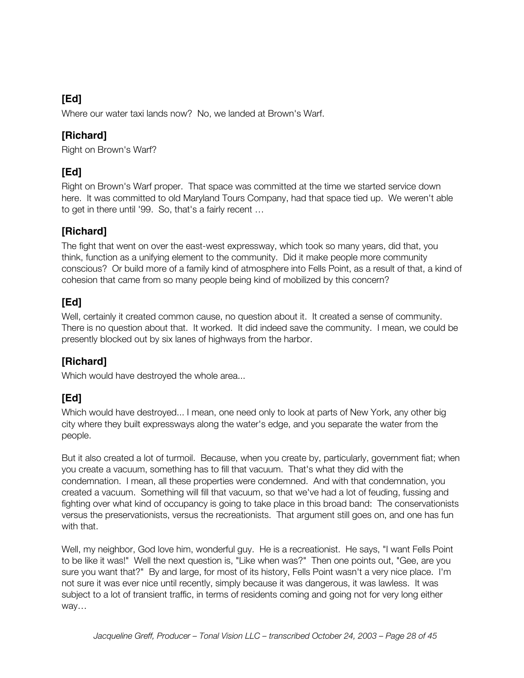Where our water taxi lands now? No, we landed at Brown's Warf.

## **[Richard]**

Right on Brown's Warf?

# **[Ed]**

Right on Brown's Warf proper. That space was committed at the time we started service down here. It was committed to old Maryland Tours Company, had that space tied up. We weren't able to get in there until '99. So, that's a fairly recent …

## **[Richard]**

The fight that went on over the east-west expressway, which took so many years, did that, you think, function as a unifying element to the community. Did it make people more community conscious? Or build more of a family kind of atmosphere into Fells Point, as a result of that, a kind of cohesion that came from so many people being kind of mobilized by this concern?

# **[Ed]**

Well, certainly it created common cause, no question about it. It created a sense of community. There is no question about that. It worked. It did indeed save the community. I mean, we could be presently blocked out by six lanes of highways from the harbor.

## **[Richard]**

Which would have destroyed the whole area...

# **[Ed]**

Which would have destroyed... I mean, one need only to look at parts of New York, any other big city where they built expressways along the water's edge, and you separate the water from the people.

But it also created a lot of turmoil. Because, when you create by, particularly, government fiat; when you create a vacuum, something has to fill that vacuum. That's what they did with the condemnation. I mean, all these properties were condemned. And with that condemnation, you created a vacuum. Something will fill that vacuum, so that we've had a lot of feuding, fussing and fighting over what kind of occupancy is going to take place in this broad band: The conservationists versus the preservationists, versus the recreationists. That argument still goes on, and one has fun with that.

Well, my neighbor, God love him, wonderful guy. He is a recreationist. He says, "I want Fells Point to be like it was!" Well the next question is, "Like when was?" Then one points out, "Gee, are you sure you want that?" By and large, for most of its history, Fells Point wasn't a very nice place. I'm not sure it was ever nice until recently, simply because it was dangerous, it was lawless. It was subject to a lot of transient traffic, in terms of residents coming and going not for very long either way…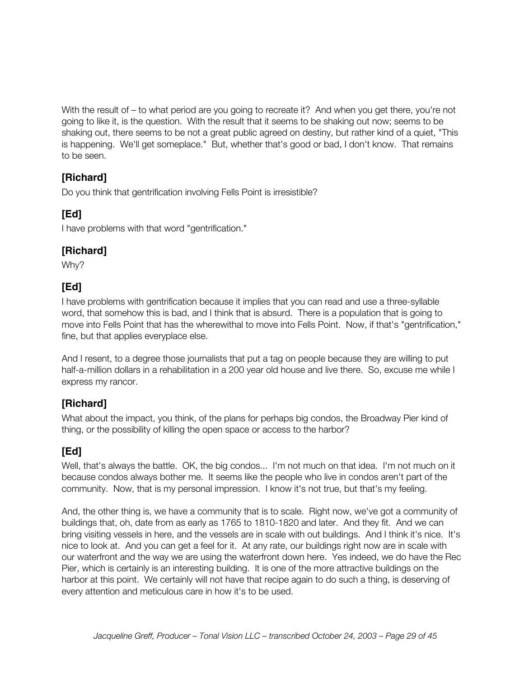With the result of – to what period are you going to recreate it? And when you get there, you're not going to like it, is the question. With the result that it seems to be shaking out now; seems to be shaking out, there seems to be not a great public agreed on destiny, but rather kind of a quiet, "This is happening. We'll get someplace." But, whether that's good or bad, I don't know. That remains to be seen.

## **[Richard]**

Do you think that gentrification involving Fells Point is irresistible?

# **[Ed]**

I have problems with that word "gentrification."

## **[Richard]**

Why?

# **[Ed]**

I have problems with gentrification because it implies that you can read and use a three-syllable word, that somehow this is bad, and I think that is absurd. There is a population that is going to move into Fells Point that has the wherewithal to move into Fells Point. Now, if that's "gentrification," fine, but that applies everyplace else.

And I resent, to a degree those journalists that put a tag on people because they are willing to put half-a-million dollars in a rehabilitation in a 200 year old house and live there. So, excuse me while I express my rancor.

## **[Richard]**

What about the impact, you think, of the plans for perhaps big condos, the Broadway Pier kind of thing, or the possibility of killing the open space or access to the harbor?

# **[Ed]**

Well, that's always the battle. OK, the big condos... I'm not much on that idea. I'm not much on it because condos always bother me. It seems like the people who live in condos aren't part of the community. Now, that is my personal impression. I know it's not true, but that's my feeling.

And, the other thing is, we have a community that is to scale. Right now, we've got a community of buildings that, oh, date from as early as 1765 to 1810-1820 and later. And they fit. And we can bring visiting vessels in here, and the vessels are in scale with out buildings. And I think it's nice. It's nice to look at. And you can get a feel for it. At any rate, our buildings right now are in scale with our waterfront and the way we are using the waterfront down here. Yes indeed, we do have the Rec Pier, which is certainly is an interesting building. It is one of the more attractive buildings on the harbor at this point. We certainly will not have that recipe again to do such a thing, is deserving of every attention and meticulous care in how it's to be used.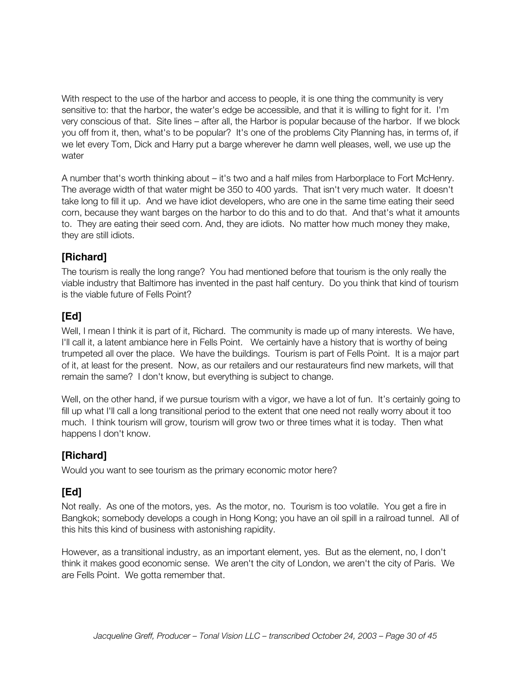With respect to the use of the harbor and access to people, it is one thing the community is very sensitive to: that the harbor, the water's edge be accessible, and that it is willing to fight for it. I'm very conscious of that. Site lines – after all, the Harbor is popular because of the harbor. If we block you off from it, then, what's to be popular? It's one of the problems City Planning has, in terms of, if we let every Tom, Dick and Harry put a barge wherever he damn well pleases, well, we use up the water

A number that's worth thinking about – it's two and a half miles from Harborplace to Fort McHenry. The average width of that water might be 350 to 400 yards. That isn't very much water. It doesn't take long to fill it up. And we have idiot developers, who are one in the same time eating their seed corn, because they want barges on the harbor to do this and to do that. And that's what it amounts to. They are eating their seed corn. And, they are idiots. No matter how much money they make, they are still idiots.

## **[Richard]**

The tourism is really the long range? You had mentioned before that tourism is the only really the viable industry that Baltimore has invented in the past half century. Do you think that kind of tourism is the viable future of Fells Point?

## **[Ed]**

Well, I mean I think it is part of it, Richard. The community is made up of many interests. We have, I'll call it, a latent ambiance here in Fells Point. We certainly have a history that is worthy of being trumpeted all over the place. We have the buildings. Tourism is part of Fells Point. It is a major part of it, at least for the present. Now, as our retailers and our restaurateurs find new markets, will that remain the same? I don't know, but everything is subject to change.

Well, on the other hand, if we pursue tourism with a vigor, we have a lot of fun. It's certainly going to fill up what I'll call a long transitional period to the extent that one need not really worry about it too much. I think tourism will grow, tourism will grow two or three times what it is today. Then what happens I don't know.

## **[Richard]**

Would you want to see tourism as the primary economic motor here?

#### **[Ed]**

Not really. As one of the motors, yes. As the motor, no. Tourism is too volatile. You get a fire in Bangkok; somebody develops a cough in Hong Kong; you have an oil spill in a railroad tunnel. All of this hits this kind of business with astonishing rapidity.

However, as a transitional industry, as an important element, yes. But as the element, no, I don't think it makes good economic sense. We aren't the city of London, we aren't the city of Paris. We are Fells Point. We gotta remember that.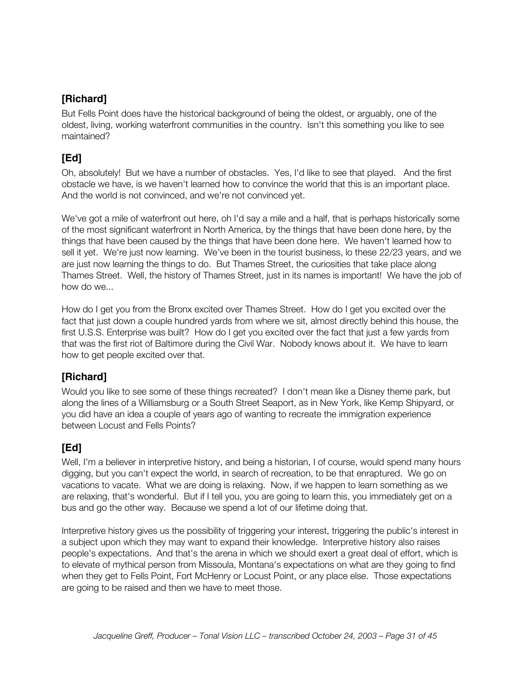But Fells Point does have the historical background of being the oldest, or arguably, one of the oldest, living, working waterfront communities in the country. Isn't this something you like to see maintained?

# **[Ed]**

Oh, absolutely! But we have a number of obstacles. Yes, I'd like to see that played. And the first obstacle we have, is we haven't learned how to convince the world that this is an important place. And the world is not convinced, and we're not convinced yet.

We've got a mile of waterfront out here, oh I'd say a mile and a half, that is perhaps historically some of the most significant waterfront in North America, by the things that have been done here, by the things that have been caused by the things that have been done here. We haven't learned how to sell it yet. We're just now learning. We've been in the tourist business, lo these 22/23 years, and we are just now learning the things to do. But Thames Street, the curiosities that take place along Thames Street. Well, the history of Thames Street, just in its names is important! We have the job of how do we...

How do I get you from the Bronx excited over Thames Street. How do I get you excited over the fact that just down a couple hundred yards from where we sit, almost directly behind this house, the first U.S.S. Enterprise was built? How do I get you excited over the fact that just a few yards from that was the first riot of Baltimore during the Civil War. Nobody knows about it. We have to learn how to get people excited over that.

## **[Richard]**

Would you like to see some of these things recreated? I don't mean like a Disney theme park, but along the lines of a Williamsburg or a South Street Seaport, as in New York, like Kemp Shipyard, or you did have an idea a couple of years ago of wanting to recreate the immigration experience between Locust and Fells Points?

# **[Ed]**

Well, I'm a believer in interpretive history, and being a historian, I of course, would spend many hours digging, but you can't expect the world, in search of recreation, to be that enraptured. We go on vacations to vacate. What we are doing is relaxing. Now, if we happen to learn something as we are relaxing, that's wonderful. But if I tell you, you are going to learn this, you immediately get on a bus and go the other way. Because we spend a lot of our lifetime doing that.

Interpretive history gives us the possibility of triggering your interest, triggering the public's interest in a subject upon which they may want to expand their knowledge. Interpretive history also raises people's expectations. And that's the arena in which we should exert a great deal of effort, which is to elevate of mythical person from Missoula, Montana's expectations on what are they going to find when they get to Fells Point, Fort McHenry or Locust Point, or any place else. Those expectations are going to be raised and then we have to meet those.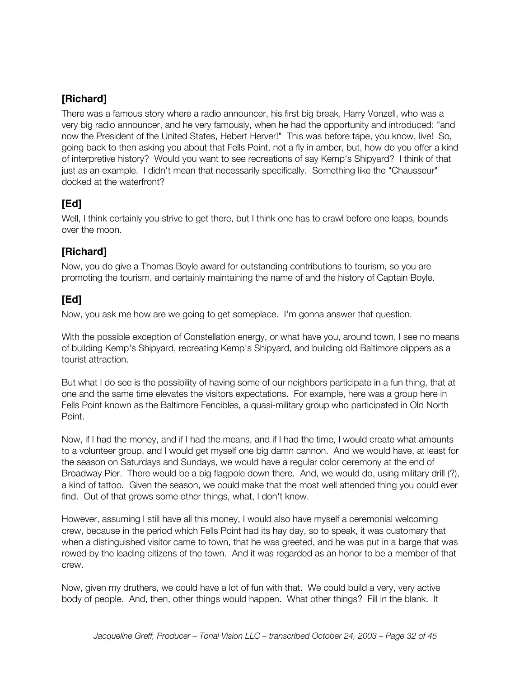There was a famous story where a radio announcer, his first big break, Harry Vonzell, who was a very big radio announcer, and he very famously, when he had the opportunity and introduced: "and now the President of the United States, Hebert Herver!" This was before tape, you know, live! So, going back to then asking you about that Fells Point, not a fly in amber, but, how do you offer a kind of interpretive history? Would you want to see recreations of say Kemp's Shipyard? I think of that just as an example. I didn't mean that necessarily specifically. Something like the "Chausseur" docked at the waterfront?

## **[Ed]**

Well, I think certainly you strive to get there, but I think one has to crawl before one leaps, bounds over the moon.

#### **[Richard]**

Now, you do give a Thomas Boyle award for outstanding contributions to tourism, so you are promoting the tourism, and certainly maintaining the name of and the history of Captain Boyle.

## **[Ed]**

Now, you ask me how are we going to get someplace. I'm gonna answer that question.

With the possible exception of Constellation energy, or what have you, around town, I see no means of building Kemp's Shipyard, recreating Kemp's Shipyard, and building old Baltimore clippers as a tourist attraction.

But what I do see is the possibility of having some of our neighbors participate in a fun thing, that at one and the same time elevates the visitors expectations. For example, here was a group here in Fells Point known as the Baltimore Fencibles, a quasi-military group who participated in Old North Point.

Now, if I had the money, and if I had the means, and if I had the time, I would create what amounts to a volunteer group, and I would get myself one big damn cannon. And we would have, at least for the season on Saturdays and Sundays, we would have a regular color ceremony at the end of Broadway Pier. There would be a big flagpole down there. And, we would do, using military drill (?), a kind of tattoo. Given the season, we could make that the most well attended thing you could ever find. Out of that grows some other things, what, I don't know.

However, assuming I still have all this money, I would also have myself a ceremonial welcoming crew, because in the period which Fells Point had its hay day, so to speak, it was customary that when a distinguished visitor came to town, that he was greeted, and he was put in a barge that was rowed by the leading citizens of the town. And it was regarded as an honor to be a member of that crew.

Now, given my druthers, we could have a lot of fun with that. We could build a very, very active body of people. And, then, other things would happen. What other things? Fill in the blank. It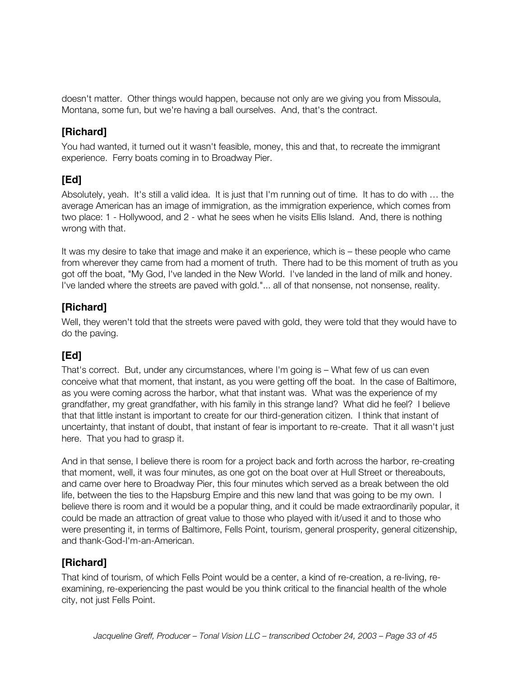doesn't matter. Other things would happen, because not only are we giving you from Missoula, Montana, some fun, but we're having a ball ourselves. And, that's the contract.

## **[Richard]**

You had wanted, it turned out it wasn't feasible, money, this and that, to recreate the immigrant experience. Ferry boats coming in to Broadway Pier.

# **[Ed]**

Absolutely, yeah. It's still a valid idea. It is just that I'm running out of time. It has to do with … the average American has an image of immigration, as the immigration experience, which comes from two place: 1 - Hollywood, and 2 - what he sees when he visits Ellis Island. And, there is nothing wrong with that.

It was my desire to take that image and make it an experience, which is – these people who came from wherever they came from had a moment of truth. There had to be this moment of truth as you got off the boat, "My God, I've landed in the New World. I've landed in the land of milk and honey. I've landed where the streets are paved with gold."... all of that nonsense, not nonsense, reality.

## **[Richard]**

Well, they weren't told that the streets were paved with gold, they were told that they would have to do the paving.

# **[Ed]**

That's correct. But, under any circumstances, where I'm going is – What few of us can even conceive what that moment, that instant, as you were getting off the boat. In the case of Baltimore, as you were coming across the harbor, what that instant was. What was the experience of my grandfather, my great grandfather, with his family in this strange land? What did he feel? I believe that that little instant is important to create for our third-generation citizen. I think that instant of uncertainty, that instant of doubt, that instant of fear is important to re-create. That it all wasn't just here. That you had to grasp it.

And in that sense, I believe there is room for a project back and forth across the harbor, re-creating that moment, well, it was four minutes, as one got on the boat over at Hull Street or thereabouts, and came over here to Broadway Pier, this four minutes which served as a break between the old life, between the ties to the Hapsburg Empire and this new land that was going to be my own. I believe there is room and it would be a popular thing, and it could be made extraordinarily popular, it could be made an attraction of great value to those who played with it/used it and to those who were presenting it, in terms of Baltimore, Fells Point, tourism, general prosperity, general citizenship, and thank-God-I'm-an-American.

#### **[Richard]**

That kind of tourism, of which Fells Point would be a center, a kind of re-creation, a re-living, reexamining, re-experiencing the past would be you think critical to the financial health of the whole city, not just Fells Point.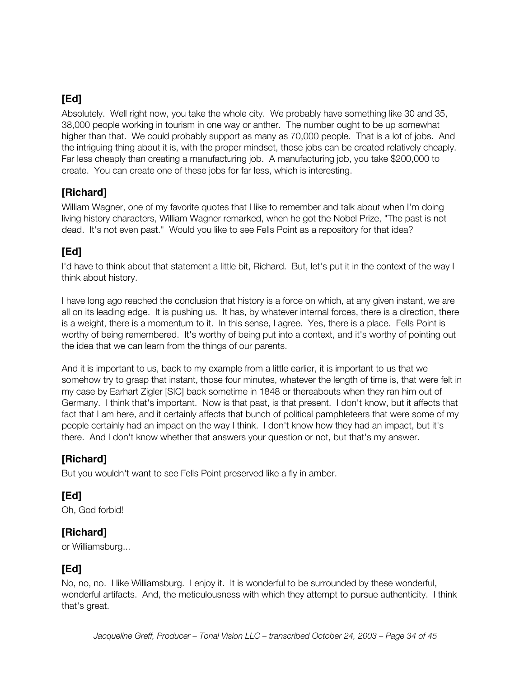Absolutely. Well right now, you take the whole city. We probably have something like 30 and 35, 38,000 people working in tourism in one way or anther. The number ought to be up somewhat higher than that. We could probably support as many as 70,000 people. That is a lot of jobs. And the intriguing thing about it is, with the proper mindset, those jobs can be created relatively cheaply. Far less cheaply than creating a manufacturing job. A manufacturing job, you take \$200,000 to create. You can create one of these jobs for far less, which is interesting.

#### **[Richard]**

William Wagner, one of my favorite quotes that I like to remember and talk about when I'm doing living history characters, William Wagner remarked, when he got the Nobel Prize, "The past is not dead. It's not even past." Would you like to see Fells Point as a repository for that idea?

## **[Ed]**

I'd have to think about that statement a little bit, Richard. But, let's put it in the context of the way I think about history.

I have long ago reached the conclusion that history is a force on which, at any given instant, we are all on its leading edge. It is pushing us. It has, by whatever internal forces, there is a direction, there is a weight, there is a momentum to it. In this sense, I agree. Yes, there is a place. Fells Point is worthy of being remembered. It's worthy of being put into a context, and it's worthy of pointing out the idea that we can learn from the things of our parents.

And it is important to us, back to my example from a little earlier, it is important to us that we somehow try to grasp that instant, those four minutes, whatever the length of time is, that were felt in my case by Earhart Zigler [SIC] back sometime in 1848 or thereabouts when they ran him out of Germany. I think that's important. Now is that past, is that present. I don't know, but it affects that fact that I am here, and it certainly affects that bunch of political pamphleteers that were some of my people certainly had an impact on the way I think. I don't know how they had an impact, but it's there. And I don't know whether that answers your question or not, but that's my answer.

#### **[Richard]**

But you wouldn't want to see Fells Point preserved like a fly in amber.

#### **[Ed]**

Oh, God forbid!

#### **[Richard]**

or Williamsburg...

# **[Ed]**

No, no, no. I like Williamsburg. I enjoy it. It is wonderful to be surrounded by these wonderful, wonderful artifacts. And, the meticulousness with which they attempt to pursue authenticity. I think that's great.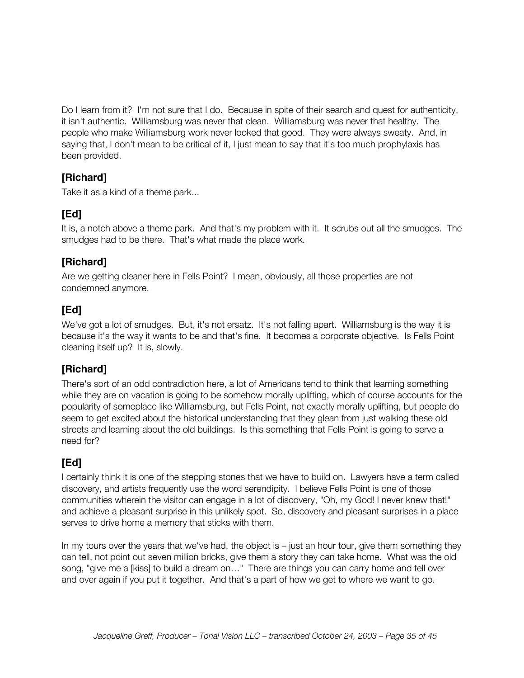Do I learn from it? I'm not sure that I do. Because in spite of their search and quest for authenticity, it isn't authentic. Williamsburg was never that clean. Williamsburg was never that healthy. The people who make Williamsburg work never looked that good. They were always sweaty. And, in saying that, I don't mean to be critical of it, I just mean to say that it's too much prophylaxis has been provided.

## **[Richard]**

Take it as a kind of a theme park...

# **[Ed]**

It is, a notch above a theme park. And that's my problem with it. It scrubs out all the smudges. The smudges had to be there. That's what made the place work.

#### **[Richard]**

Are we getting cleaner here in Fells Point? I mean, obviously, all those properties are not condemned anymore.

## **[Ed]**

We've got a lot of smudges. But, it's not ersatz. It's not falling apart. Williamsburg is the way it is because it's the way it wants to be and that's fine. It becomes a corporate objective. Is Fells Point cleaning itself up? It is, slowly.

## **[Richard]**

There's sort of an odd contradiction here, a lot of Americans tend to think that learning something while they are on vacation is going to be somehow morally uplifting, which of course accounts for the popularity of someplace like Williamsburg, but Fells Point, not exactly morally uplifting, but people do seem to get excited about the historical understanding that they glean from just walking these old streets and learning about the old buildings. Is this something that Fells Point is going to serve a need for?

# **[Ed]**

I certainly think it is one of the stepping stones that we have to build on. Lawyers have a term called discovery, and artists frequently use the word serendipity. I believe Fells Point is one of those communities wherein the visitor can engage in a lot of discovery, "Oh, my God! I never knew that!" and achieve a pleasant surprise in this unlikely spot. So, discovery and pleasant surprises in a place serves to drive home a memory that sticks with them.

In my tours over the years that we've had, the object is – just an hour tour, give them something they can tell, not point out seven million bricks, give them a story they can take home. What was the old song, "give me a [kiss] to build a dream on…" There are things you can carry home and tell over and over again if you put it together. And that's a part of how we get to where we want to go.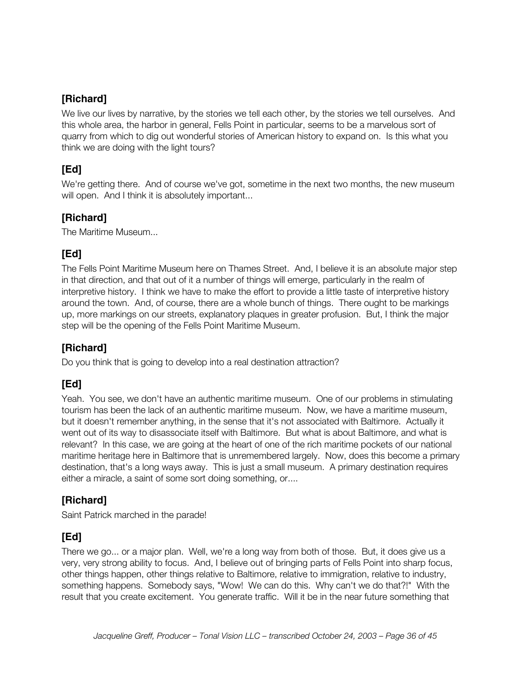We live our lives by narrative, by the stories we tell each other, by the stories we tell ourselves. And this whole area, the harbor in general, Fells Point in particular, seems to be a marvelous sort of quarry from which to dig out wonderful stories of American history to expand on. Is this what you think we are doing with the light tours?

## **[Ed]**

We're getting there. And of course we've got, sometime in the next two months, the new museum will open. And I think it is absolutely important...

#### **[Richard]**

The Maritime Museum...

#### **[Ed]**

The Fells Point Maritime Museum here on Thames Street. And, I believe it is an absolute major step in that direction, and that out of it a number of things will emerge, particularly in the realm of interpretive history. I think we have to make the effort to provide a little taste of interpretive history around the town. And, of course, there are a whole bunch of things. There ought to be markings up, more markings on our streets, explanatory plaques in greater profusion. But, I think the major step will be the opening of the Fells Point Maritime Museum.

## **[Richard]**

Do you think that is going to develop into a real destination attraction?

# **[Ed]**

Yeah. You see, we don't have an authentic maritime museum. One of our problems in stimulating tourism has been the lack of an authentic maritime museum. Now, we have a maritime museum, but it doesn't remember anything, in the sense that it's not associated with Baltimore. Actually it went out of its way to disassociate itself with Baltimore. But what is about Baltimore, and what is relevant? In this case, we are going at the heart of one of the rich maritime pockets of our national maritime heritage here in Baltimore that is unremembered largely. Now, does this become a primary destination, that's a long ways away. This is just a small museum. A primary destination requires either a miracle, a saint of some sort doing something, or....

#### **[Richard]**

Saint Patrick marched in the parade!

## **[Ed]**

There we go... or a major plan. Well, we're a long way from both of those. But, it does give us a very, very strong ability to focus. And, I believe out of bringing parts of Fells Point into sharp focus, other things happen, other things relative to Baltimore, relative to immigration, relative to industry, something happens. Somebody says, "Wow! We can do this. Why can't we do that?!" With the result that you create excitement. You generate traffic. Will it be in the near future something that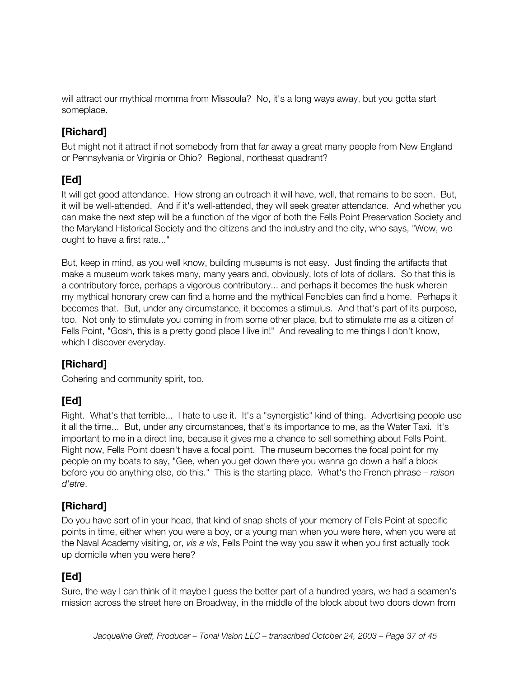will attract our mythical momma from Missoula? No, it's a long ways away, but you gotta start someplace.

## **[Richard]**

But might not it attract if not somebody from that far away a great many people from New England or Pennsylvania or Virginia or Ohio? Regional, northeast quadrant?

# **[Ed]**

It will get good attendance. How strong an outreach it will have, well, that remains to be seen. But, it will be well-attended. And if it's well-attended, they will seek greater attendance. And whether you can make the next step will be a function of the vigor of both the Fells Point Preservation Society and the Maryland Historical Society and the citizens and the industry and the city, who says, "Wow, we ought to have a first rate..."

But, keep in mind, as you well know, building museums is not easy. Just finding the artifacts that make a museum work takes many, many years and, obviously, lots of lots of dollars. So that this is a contributory force, perhaps a vigorous contributory... and perhaps it becomes the husk wherein my mythical honorary crew can find a home and the mythical Fencibles can find a home. Perhaps it becomes that. But, under any circumstance, it becomes a stimulus. And that's part of its purpose, too. Not only to stimulate you coming in from some other place, but to stimulate me as a citizen of Fells Point, "Gosh, this is a pretty good place I live in!" And revealing to me things I don't know, which I discover everyday.

#### **[Richard]**

Cohering and community spirit, too.

# **[Ed]**

Right. What's that terrible... I hate to use it. It's a "synergistic" kind of thing. Advertising people use it all the time... But, under any circumstances, that's its importance to me, as the Water Taxi. It's important to me in a direct line, because it gives me a chance to sell something about Fells Point. Right now, Fells Point doesn't have a focal point. The museum becomes the focal point for my people on my boats to say, "Gee, when you get down there you wanna go down a half a block before you do anything else, do this." This is the starting place. What's the French phrase – *raison d'etre*.

#### **[Richard]**

Do you have sort of in your head, that kind of snap shots of your memory of Fells Point at specific points in time, either when you were a boy, or a young man when you were here, when you were at the Naval Academy visiting, or, *vis a vis*, Fells Point the way you saw it when you first actually took up domicile when you were here?

## **[Ed]**

Sure, the way I can think of it maybe I guess the better part of a hundred years, we had a seamen's mission across the street here on Broadway, in the middle of the block about two doors down from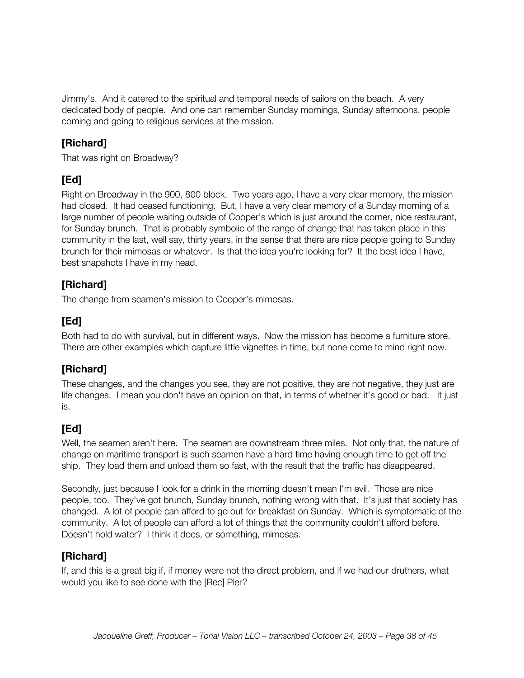Jimmy's. And it catered to the spiritual and temporal needs of sailors on the beach. A very dedicated body of people. And one can remember Sunday mornings, Sunday afternoons, people coming and going to religious services at the mission.

## **[Richard]**

That was right on Broadway?

# **[Ed]**

Right on Broadway in the 900, 800 block. Two years ago, I have a very clear memory, the mission had closed. It had ceased functioning. But, I have a very clear memory of a Sunday morning of a large number of people waiting outside of Cooper's which is just around the corner, nice restaurant, for Sunday brunch. That is probably symbolic of the range of change that has taken place in this community in the last, well say, thirty years, in the sense that there are nice people going to Sunday brunch for their mimosas or whatever. Is that the idea you're looking for? It the best idea I have, best snapshots I have in my head.

# **[Richard]**

The change from seamen's mission to Cooper's mimosas.

# **[Ed]**

Both had to do with survival, but in different ways. Now the mission has become a furniture store. There are other examples which capture little vignettes in time, but none come to mind right now.

# **[Richard]**

These changes, and the changes you see, they are not positive, they are not negative, they just are life changes. I mean you don't have an opinion on that, in terms of whether it's good or bad. It just is.

# **[Ed]**

Well, the seamen aren't here. The seamen are downstream three miles. Not only that, the nature of change on maritime transport is such seamen have a hard time having enough time to get off the ship. They load them and unload them so fast, with the result that the traffic has disappeared.

Secondly, just because I look for a drink in the morning doesn't mean I'm evil. Those are nice people, too. They've got brunch, Sunday brunch, nothing wrong with that. It's just that society has changed. A lot of people can afford to go out for breakfast on Sunday. Which is symptomatic of the community. A lot of people can afford a lot of things that the community couldn't afford before. Doesn't hold water? I think it does, or something, mimosas.

## **[Richard]**

If, and this is a great big if, if money were not the direct problem, and if we had our druthers, what would you like to see done with the [Rec] Pier?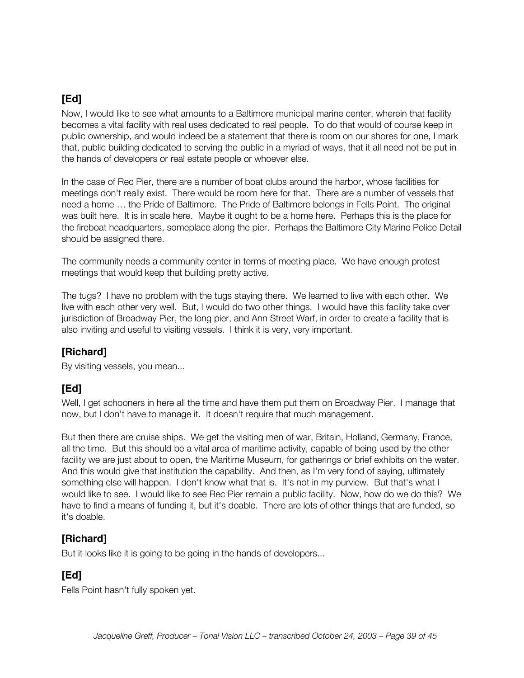Now, I would like to see what amounts to a Baltimore municipal marine center, wherein that facility becomes a vital facility with real uses dedicated to real people. To do that would of course keep in public ownership, and would indeed be a statement that there is room on our shores for one, I mark that, public building dedicated to serving the public in a myriad of ways, that it all need not be put in the hands of developers or real estate people or whoever else.

In the case of Rec Pier, there are a number of boat clubs around the harbor, whose facilities for meetings don't really exist. There would be room here for that. There are a number of vessels that need a home … the Pride of Baltimore. The Pride of Baltimore belongs in Fells Point. The original was built here. It is in scale here. Maybe it ought to be a home here. Perhaps this is the place for the fireboat headquarters, someplace along the pier. Perhaps the Baltimore City Marine Police Detail should be assigned there.

The community needs a community center in terms of meeting place. We have enough protest meetings that would keep that building pretty active.

The tugs? I have no problem with the tugs staying there. We learned to live with each other. We live with each other very well. But, I would do two other things. I would have this facility take over jurisdiction of Broadway Pier, the long pier, and Ann Street Warf, in order to create a facility that is also inviting and useful to visiting vessels. I think it is very, very important.

#### **[Richard]**

By visiting vessels, you mean...

## **[Ed]**

Well, I get schooners in here all the time and have them put them on Broadway Pier. I manage that now, but I don't have to manage it. It doesn't require that much management.

But then there are cruise ships. We get the visiting men of war, Britain, Holland, Germany, France, all the time. But this should be a vital area of maritime activity, capable of being used by the other facility we are just about to open, the Maritime Museum, for gatherings or brief exhibits on the water. And this would give that institution the capability. And then, as I'm very fond of saying, ultimately something else will happen. I don't know what that is. It's not in my purview. But that's what I would like to see. I would like to see Rec Pier remain a public facility. Now, how do we do this? We have to find a means of funding it, but it's doable. There are lots of other things that are funded, so it's doable.

#### **[Richard]**

But it looks like it is going to be going in the hands of developers...

# **[Ed]**

Fells Point hasn't fully spoken yet.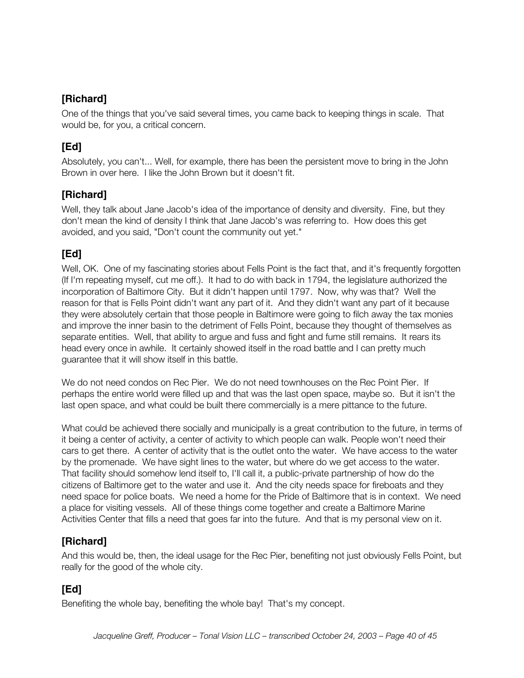One of the things that you've said several times, you came back to keeping things in scale. That would be, for you, a critical concern.

# **[Ed]**

Absolutely, you can't... Well, for example, there has been the persistent move to bring in the John Brown in over here. I like the John Brown but it doesn't fit.

#### **[Richard]**

Well, they talk about Jane Jacob's idea of the importance of density and diversity. Fine, but they don't mean the kind of density I think that Jane Jacob's was referring to. How does this get avoided, and you said, "Don't count the community out yet."

## **[Ed]**

Well, OK. One of my fascinating stories about Fells Point is the fact that, and it's frequently forgotten (If I'm repeating myself, cut me off.). It had to do with back in 1794, the legislature authorized the incorporation of Baltimore City. But it didn't happen until 1797. Now, why was that? Well the reason for that is Fells Point didn't want any part of it. And they didn't want any part of it because they were absolutely certain that those people in Baltimore were going to filch away the tax monies and improve the inner basin to the detriment of Fells Point, because they thought of themselves as separate entities. Well, that ability to argue and fuss and fight and fume still remains. It rears its head every once in awhile. It certainly showed itself in the road battle and I can pretty much guarantee that it will show itself in this battle.

We do not need condos on Rec Pier. We do not need townhouses on the Rec Point Pier. If perhaps the entire world were filled up and that was the last open space, maybe so. But it isn't the last open space, and what could be built there commercially is a mere pittance to the future.

What could be achieved there socially and municipally is a great contribution to the future, in terms of it being a center of activity, a center of activity to which people can walk. People won't need their cars to get there. A center of activity that is the outlet onto the water. We have access to the water by the promenade. We have sight lines to the water, but where do we get access to the water. That facility should somehow lend itself to, I'll call it, a public-private partnership of how do the citizens of Baltimore get to the water and use it. And the city needs space for fireboats and they need space for police boats. We need a home for the Pride of Baltimore that is in context. We need a place for visiting vessels. All of these things come together and create a Baltimore Marine Activities Center that fills a need that goes far into the future. And that is my personal view on it.

## **[Richard]**

And this would be, then, the ideal usage for the Rec Pier, benefiting not just obviously Fells Point, but really for the good of the whole city.

# **[Ed]**

Benefiting the whole bay, benefiting the whole bay! That's my concept.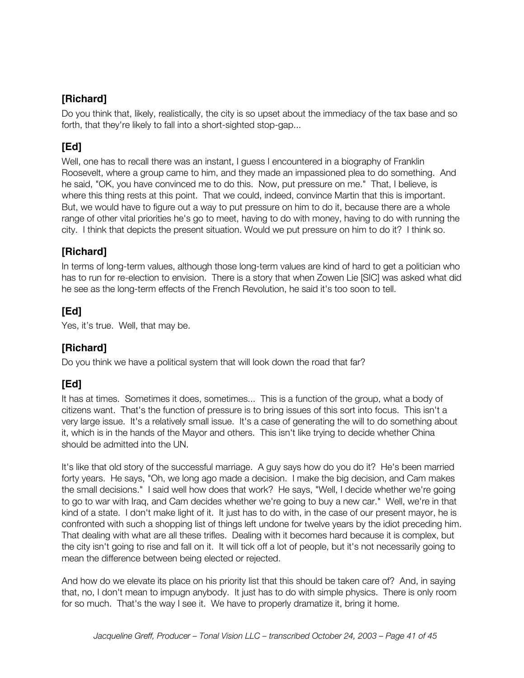Do you think that, likely, realistically, the city is so upset about the immediacy of the tax base and so forth, that they're likely to fall into a short-sighted stop-gap...

## **[Ed]**

Well, one has to recall there was an instant, I guess I encountered in a biography of Franklin Roosevelt, where a group came to him, and they made an impassioned plea to do something. And he said, "OK, you have convinced me to do this. Now, put pressure on me." That, I believe, is where this thing rests at this point. That we could, indeed, convince Martin that this is important. But, we would have to figure out a way to put pressure on him to do it, because there are a whole range of other vital priorities he's go to meet, having to do with money, having to do with running the city. I think that depicts the present situation. Would we put pressure on him to do it? I think so.

#### **[Richard]**

In terms of long-term values, although those long-term values are kind of hard to get a politician who has to run for re-election to envision. There is a story that when Zowen Lie [SIC] was asked what did he see as the long-term effects of the French Revolution, he said it's too soon to tell.

#### **[Ed]**

Yes, it's true. Well, that may be.

## **[Richard]**

Do you think we have a political system that will look down the road that far?

# **[Ed]**

It has at times. Sometimes it does, sometimes... This is a function of the group, what a body of citizens want. That's the function of pressure is to bring issues of this sort into focus. This isn't a very large issue. It's a relatively small issue. It's a case of generating the will to do something about it, which is in the hands of the Mayor and others. This isn't like trying to decide whether China should be admitted into the UN.

It's like that old story of the successful marriage. A guy says how do you do it? He's been married forty years. He says, "Oh, we long ago made a decision. I make the big decision, and Cam makes the small decisions." I said well how does that work? He says, "Well, I decide whether we're going to go to war with Iraq, and Cam decides whether we're going to buy a new car." Well, we're in that kind of a state. I don't make light of it. It just has to do with, in the case of our present mayor, he is confronted with such a shopping list of things left undone for twelve years by the idiot preceding him. That dealing with what are all these trifles. Dealing with it becomes hard because it is complex, but the city isn't going to rise and fall on it. It will tick off a lot of people, but it's not necessarily going to mean the difference between being elected or rejected.

And how do we elevate its place on his priority list that this should be taken care of? And, in saying that, no, I don't mean to impugn anybody. It just has to do with simple physics. There is only room for so much. That's the way I see it. We have to properly dramatize it, bring it home.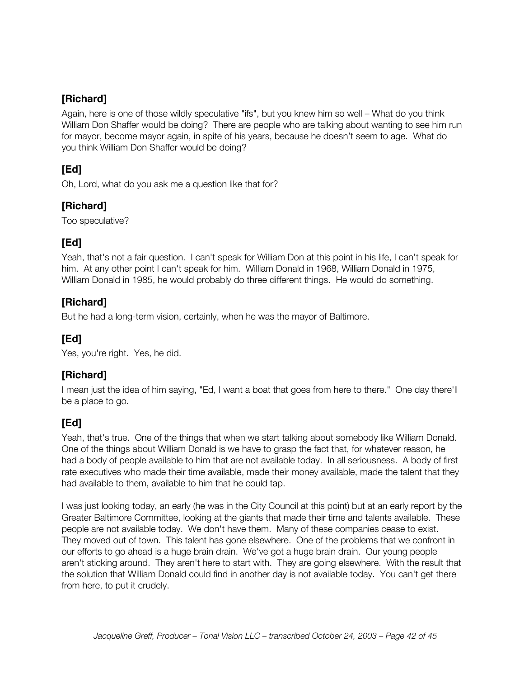Again, here is one of those wildly speculative "ifs", but you knew him so well – What do you think William Don Shaffer would be doing? There are people who are talking about wanting to see him run for mayor, become mayor again, in spite of his years, because he doesn't seem to age. What do you think William Don Shaffer would be doing?

## **[Ed]**

Oh, Lord, what do you ask me a question like that for?

## **[Richard]**

Too speculative?

# **[Ed]**

Yeah, that's not a fair question. I can't speak for William Don at this point in his life, I can't speak for him. At any other point I can't speak for him. William Donald in 1968, William Donald in 1975, William Donald in 1985, he would probably do three different things. He would do something.

## **[Richard]**

But he had a long-term vision, certainly, when he was the mayor of Baltimore.

## **[Ed]**

Yes, you're right. Yes, he did.

## **[Richard]**

I mean just the idea of him saying, "Ed, I want a boat that goes from here to there." One day there'll be a place to go.

## **[Ed]**

Yeah, that's true. One of the things that when we start talking about somebody like William Donald. One of the things about William Donald is we have to grasp the fact that, for whatever reason, he had a body of people available to him that are not available today. In all seriousness. A body of first rate executives who made their time available, made their money available, made the talent that they had available to them, available to him that he could tap.

I was just looking today, an early (he was in the City Council at this point) but at an early report by the Greater Baltimore Committee, looking at the giants that made their time and talents available. These people are not available today. We don't have them. Many of these companies cease to exist. They moved out of town. This talent has gone elsewhere. One of the problems that we confront in our efforts to go ahead is a huge brain drain. We've got a huge brain drain. Our young people aren't sticking around. They aren't here to start with. They are going elsewhere. With the result that the solution that William Donald could find in another day is not available today. You can't get there from here, to put it crudely.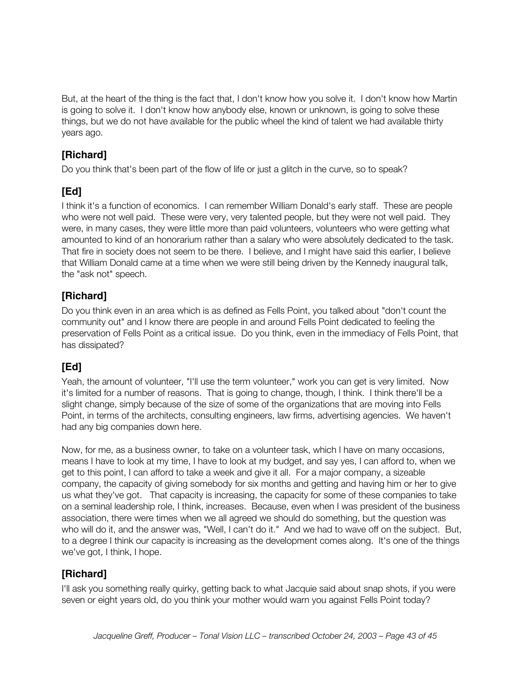But, at the heart of the thing is the fact that, I don't know how you solve it. I don't know how Martin is going to solve it. I don't know how anybody else, known or unknown, is going to solve these things, but we do not have available for the public wheel the kind of talent we had available thirty years ago.

## **[Richard]**

Do you think that's been part of the flow of life or just a glitch in the curve, so to speak?

# **[Ed]**

I think it's a function of economics. I can remember William Donald's early staff. These are people who were not well paid. These were very, very talented people, but they were not well paid. They were, in many cases, they were little more than paid volunteers, volunteers who were getting what amounted to kind of an honorarium rather than a salary who were absolutely dedicated to the task. That fire in society does not seem to be there. I believe, and I might have said this earlier, I believe that William Donald came at a time when we were still being driven by the Kennedy inaugural talk, the "ask not" speech.

## **[Richard]**

Do you think even in an area which is as defined as Fells Point, you talked about "don't count the community out" and I know there are people in and around Fells Point dedicated to feeling the preservation of Fells Point as a critical issue. Do you think, even in the immediacy of Fells Point, that has dissipated?

## **[Ed]**

Yeah, the amount of volunteer, "I'll use the term volunteer," work you can get is very limited. Now it's limited for a number of reasons. That is going to change, though, I think. I think there'll be a slight change, simply because of the size of some of the organizations that are moving into Fells Point, in terms of the architects, consulting engineers, law firms, advertising agencies. We haven't had any big companies down here.

Now, for me, as a business owner, to take on a volunteer task, which I have on many occasions, means I have to look at my time, I have to look at my budget, and say yes, I can afford to, when we get to this point, I can afford to take a week and give it all. For a major company, a sizeable company, the capacity of giving somebody for six months and getting and having him or her to give us what they've got. That capacity is increasing, the capacity for some of these companies to take on a seminal leadership role, I think, increases. Because, even when I was president of the business association, there were times when we all agreed we should do something, but the question was who will do it, and the answer was, "Well, I can't do it." And we had to wave off on the subject. But, to a degree I think our capacity is increasing as the development comes along. It's one of the things we've got, I think, I hope.

## **[Richard]**

I'll ask you something really quirky, getting back to what Jacquie said about snap shots, if you were seven or eight years old, do you think your mother would warn you against Fells Point today?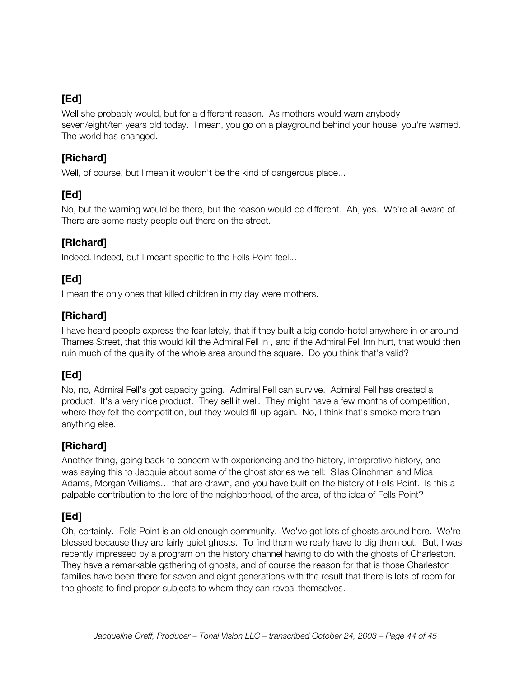Well she probably would, but for a different reason. As mothers would warn anybody seven/eight/ten years old today. I mean, you go on a playground behind your house, you're warned. The world has changed.

#### **[Richard]**

Well, of course, but I mean it wouldn't be the kind of dangerous place...

## **[Ed]**

No, but the warning would be there, but the reason would be different. Ah, yes. We're all aware of. There are some nasty people out there on the street.

## **[Richard]**

Indeed. Indeed, but I meant specific to the Fells Point feel...

# **[Ed]**

I mean the only ones that killed children in my day were mothers.

## **[Richard]**

I have heard people express the fear lately, that if they built a big condo-hotel anywhere in or around Thames Street, that this would kill the Admiral Fell in , and if the Admiral Fell Inn hurt, that would then ruin much of the quality of the whole area around the square. Do you think that's valid?

## **[Ed]**

No, no, Admiral Fell's got capacity going. Admiral Fell can survive. Admiral Fell has created a product. It's a very nice product. They sell it well. They might have a few months of competition, where they felt the competition, but they would fill up again. No, I think that's smoke more than anything else.

## **[Richard]**

Another thing, going back to concern with experiencing and the history, interpretive history, and I was saying this to Jacquie about some of the ghost stories we tell: Silas Clinchman and Mica Adams, Morgan Williams… that are drawn, and you have built on the history of Fells Point. Is this a palpable contribution to the lore of the neighborhood, of the area, of the idea of Fells Point?

## **[Ed]**

Oh, certainly. Fells Point is an old enough community. We've got lots of ghosts around here. We're blessed because they are fairly quiet ghosts. To find them we really have to dig them out. But, I was recently impressed by a program on the history channel having to do with the ghosts of Charleston. They have a remarkable gathering of ghosts, and of course the reason for that is those Charleston families have been there for seven and eight generations with the result that there is lots of room for the ghosts to find proper subjects to whom they can reveal themselves.